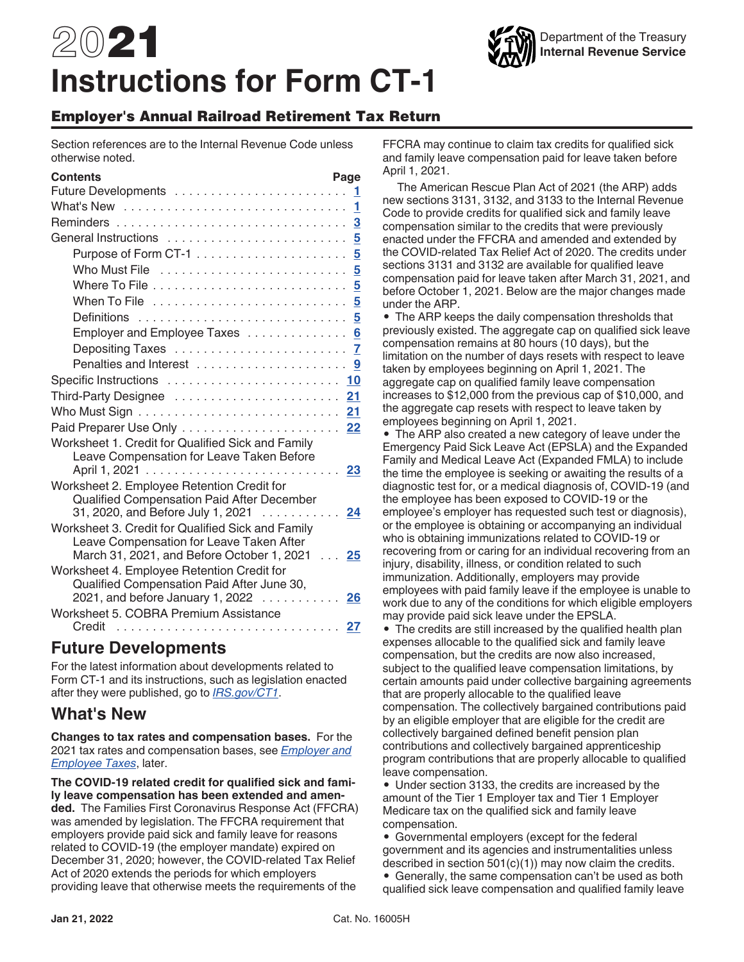# 2021 **Instructions for Form CT-1**

#### Employer's Annual Railroad Retirement Tax Return

Section references are to the Internal Revenue Code unless otherwise noted.

| <b>Contents</b>                                                                                                                             | Page     |
|---------------------------------------------------------------------------------------------------------------------------------------------|----------|
|                                                                                                                                             |          |
|                                                                                                                                             | 1        |
|                                                                                                                                             | <u>3</u> |
|                                                                                                                                             |          |
|                                                                                                                                             |          |
|                                                                                                                                             |          |
|                                                                                                                                             |          |
| When To File $\ldots \ldots \ldots \ldots \ldots \ldots \ldots \ldots 5$                                                                    |          |
|                                                                                                                                             |          |
| Employer and Employee Taxes                                                                                                                 | 6        |
|                                                                                                                                             |          |
| Penalties and Interest                                                                                                                      | 9        |
|                                                                                                                                             |          |
| Third-Party Designee  21                                                                                                                    |          |
|                                                                                                                                             |          |
|                                                                                                                                             |          |
| Worksheet 1. Credit for Qualified Sick and Family<br>Leave Compensation for Leave Taken Before                                              |          |
|                                                                                                                                             |          |
| Worksheet 2. Employee Retention Credit for<br>Qualified Compensation Paid After December<br>31, 2020, and Before July 1, 2021 24            |          |
| Worksheet 3. Credit for Qualified Sick and Family<br>Leave Compensation for Leave Taken After<br>March 31, 2021, and Before October 1, 2021 | 25       |
| Worksheet 4. Employee Retention Credit for<br>Qualified Compensation Paid After June 30,<br>2021, and before January 1, 2022 26             |          |
| Worksheet 5. COBRA Premium Assistance<br>Credit                                                                                             | 27       |

#### **Future Developments**

For the latest information about developments related to Form CT-1 and its instructions, such as legislation enacted after they were published, go to *[IRS.gov/CT1](https://www.irs.gov/ct1)*.

#### **What's New**

**Changes to tax rates and compensation bases.** For the 2021 tax rates and compensation bases, see *[Employer and](#page-5-0) [Employee Taxes](#page-5-0)*, later.

**The COVID-19 related credit for qualified sick and family leave compensation has been extended and amended.** The Families First Coronavirus Response Act (FFCRA) was amended by legislation. The FFCRA requirement that employers provide paid sick and family leave for reasons related to COVID-19 (the employer mandate) expired on December 31, 2020; however, the COVID-related Tax Relief Act of 2020 extends the periods for which employers providing leave that otherwise meets the requirements of the

FFCRA may continue to claim tax credits for qualified sick and family leave compensation paid for leave taken before April 1, 2021.

The American Rescue Plan Act of 2021 (the ARP) adds new sections 3131, 3132, and 3133 to the Internal Revenue Code to provide credits for qualified sick and family leave compensation similar to the credits that were previously enacted under the FFCRA and amended and extended by the COVID-related Tax Relief Act of 2020. The credits under sections 3131 and 3132 are available for qualified leave compensation paid for leave taken after March 31, 2021, and before October 1, 2021. Below are the major changes made under the ARP.

• The ARP keeps the daily compensation thresholds that previously existed. The aggregate cap on qualified sick leave compensation remains at 80 hours (10 days), but the limitation on the number of days resets with respect to leave taken by employees beginning on April 1, 2021. The aggregate cap on qualified family leave compensation increases to \$12,000 from the previous cap of \$10,000, and the aggregate cap resets with respect to leave taken by employees beginning on April 1, 2021.

• The ARP also created a new category of leave under the Emergency Paid Sick Leave Act (EPSLA) and the Expanded Family and Medical Leave Act (Expanded FMLA) to include the time the employee is seeking or awaiting the results of a diagnostic test for, or a medical diagnosis of, COVID-19 (and the employee has been exposed to COVID-19 or the employee's employer has requested such test or diagnosis), or the employee is obtaining or accompanying an individual who is obtaining immunizations related to COVID-19 or recovering from or caring for an individual recovering from an injury, disability, illness, or condition related to such immunization. Additionally, employers may provide employees with paid family leave if the employee is unable to work due to any of the conditions for which eligible employers may provide paid sick leave under the EPSLA.

• The credits are still increased by the qualified health plan expenses allocable to the qualified sick and family leave compensation, but the credits are now also increased, subject to the qualified leave compensation limitations, by certain amounts paid under collective bargaining agreements that are properly allocable to the qualified leave compensation. The collectively bargained contributions paid by an eligible employer that are eligible for the credit are collectively bargained defined benefit pension plan contributions and collectively bargained apprenticeship program contributions that are properly allocable to qualified leave compensation.

• Under section 3133, the credits are increased by the amount of the Tier 1 Employer tax and Tier 1 Employer Medicare tax on the qualified sick and family leave compensation.

• Governmental employers (except for the federal government and its agencies and instrumentalities unless described in section 501(c)(1)) may now claim the credits.

• Generally, the same compensation can't be used as both qualified sick leave compensation and qualified family leave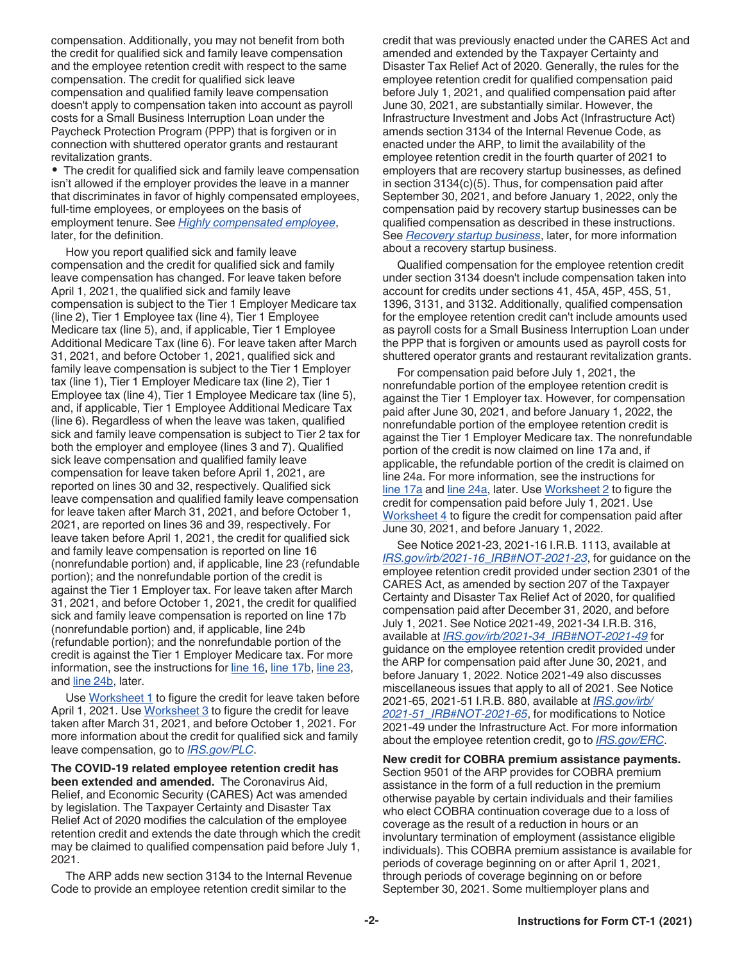compensation. Additionally, you may not benefit from both the credit for qualified sick and family leave compensation and the employee retention credit with respect to the same compensation. The credit for qualified sick leave compensation and qualified family leave compensation doesn't apply to compensation taken into account as payroll costs for a Small Business Interruption Loan under the Paycheck Protection Program (PPP) that is forgiven or in connection with shuttered operator grants and restaurant revitalization grants.

• The credit for qualified sick and family leave compensation isn't allowed if the employer provides the leave in a manner that discriminates in favor of highly compensated employees, full-time employees, or employees on the basis of employment tenure. See *[Highly compensated employee](#page-15-0)*, later, for the definition.

How you report qualified sick and family leave compensation and the credit for qualified sick and family leave compensation has changed. For leave taken before April 1, 2021, the qualified sick and family leave compensation is subject to the Tier 1 Employer Medicare tax (line 2), Tier 1 Employee tax (line 4), Tier 1 Employee Medicare tax (line 5), and, if applicable, Tier 1 Employee Additional Medicare Tax (line 6). For leave taken after March 31, 2021, and before October 1, 2021, qualified sick and family leave compensation is subject to the Tier 1 Employer tax (line 1), Tier 1 Employer Medicare tax (line 2), Tier 1 Employee tax (line 4), Tier 1 Employee Medicare tax (line 5), and, if applicable, Tier 1 Employee Additional Medicare Tax (line 6). Regardless of when the leave was taken, qualified sick and family leave compensation is subject to Tier 2 tax for both the employer and employee (lines 3 and 7). Qualified sick leave compensation and qualified family leave compensation for leave taken before April 1, 2021, are reported on lines 30 and 32, respectively. Qualified sick leave compensation and qualified family leave compensation for leave taken after March 31, 2021, and before October 1, 2021, are reported on lines 36 and 39, respectively. For leave taken before April 1, 2021, the credit for qualified sick and family leave compensation is reported on line 16 (nonrefundable portion) and, if applicable, line 23 (refundable portion); and the nonrefundable portion of the credit is against the Tier 1 Employer tax. For leave taken after March 31, 2021, and before October 1, 2021, the credit for qualified sick and family leave compensation is reported on line 17b (nonrefundable portion) and, if applicable, line 24b (refundable portion); and the nonrefundable portion of the credit is against the Tier 1 Employer Medicare tax. For more information, see the instructions for [line 16,](#page-12-0) [line 17b,](#page-14-0) [line 23](#page-16-0), and [line 24b](#page-16-0), later.

Use [Worksheet 1](#page-22-0) to figure the credit for leave taken before April 1, 2021. Use [Worksheet 3](#page-24-0) to figure the credit for leave taken after March 31, 2021, and before October 1, 2021. For more information about the credit for qualified sick and family leave compensation, go to *[IRS.gov/PLC](https://www.irs.gov/plc)*.

**The COVID-19 related employee retention credit has been extended and amended.** The Coronavirus Aid, Relief, and Economic Security (CARES) Act was amended by legislation. The Taxpayer Certainty and Disaster Tax Relief Act of 2020 modifies the calculation of the employee retention credit and extends the date through which the credit may be claimed to qualified compensation paid before July 1, 2021.

The ARP adds new section 3134 to the Internal Revenue Code to provide an employee retention credit similar to the

credit that was previously enacted under the CARES Act and amended and extended by the Taxpayer Certainty and Disaster Tax Relief Act of 2020. Generally, the rules for the employee retention credit for qualified compensation paid before July 1, 2021, and qualified compensation paid after June 30, 2021, are substantially similar. However, the Infrastructure Investment and Jobs Act (Infrastructure Act) amends section 3134 of the Internal Revenue Code, as enacted under the ARP, to limit the availability of the employee retention credit in the fourth quarter of 2021 to employers that are recovery startup businesses, as defined in section 3134(c)(5). Thus, for compensation paid after September 30, 2021, and before January 1, 2022, only the compensation paid by recovery startup businesses can be qualified compensation as described in these instructions. See *[Recovery startup business](#page-14-0)*, later, for more information about a recovery startup business.

Qualified compensation for the employee retention credit under section 3134 doesn't include compensation taken into account for credits under sections 41, 45A, 45P, 45S, 51, 1396, 3131, and 3132. Additionally, qualified compensation for the employee retention credit can't include amounts used as payroll costs for a Small Business Interruption Loan under the PPP that is forgiven or amounts used as payroll costs for shuttered operator grants and restaurant revitalization grants.

For compensation paid before July 1, 2021, the nonrefundable portion of the employee retention credit is against the Tier 1 Employer tax. However, for compensation paid after June 30, 2021, and before January 1, 2022, the nonrefundable portion of the employee retention credit is against the Tier 1 Employer Medicare tax. The nonrefundable portion of the credit is now claimed on line 17a and, if applicable, the refundable portion of the credit is claimed on line 24a. For more information, see the instructions for [line 17a](#page-12-0) and [line 24a](#page-16-0), later. Use [Worksheet 2](#page-23-0) to figure the credit for compensation paid before July 1, 2021. Use [Worksheet 4](#page-25-0) to figure the credit for compensation paid after June 30, 2021, and before January 1, 2022.

See Notice 2021-23, 2021-16 I.R.B. 1113, available at *[IRS.gov/irb/2021-16\\_IRB#NOT-2021-23](https://www.irs.gov/irb/2021-16_IRB#NOT-2021-23)*, for guidance on the employee retention credit provided under section 2301 of the CARES Act, as amended by section 207 of the Taxpayer Certainty and Disaster Tax Relief Act of 2020, for qualified compensation paid after December 31, 2020, and before July 1, 2021. See Notice 2021-49, 2021-34 I.R.B. 316, available at *[IRS.gov/irb/2021-34\\_IRB#NOT-2021-49](https://www.irs.gov/irb/2021-34_IRB#NOT-2021-49)* for guidance on the employee retention credit provided under the ARP for compensation paid after June 30, 2021, and before January 1, 2022. Notice 2021-49 also discusses miscellaneous issues that apply to all of 2021. See Notice 2021-65, 2021-51 I.R.B. 880, available at *[IRS.gov/irb/](https://www.irs.gov/irb/2021-51_IRB#NOT-2021-65) [2021-51\\_IRB#NOT-2021-65](https://www.irs.gov/irb/2021-51_IRB#NOT-2021-65)*, for modifications to Notice 2021-49 under the Infrastructure Act. For more information about the employee retention credit, go to *[IRS.gov/ERC](https://www.irs.gov/erc)*.

**New credit for COBRA premium assistance payments.**  Section 9501 of the ARP provides for COBRA premium assistance in the form of a full reduction in the premium otherwise payable by certain individuals and their families who elect COBRA continuation coverage due to a loss of coverage as the result of a reduction in hours or an involuntary termination of employment (assistance eligible individuals). This COBRA premium assistance is available for periods of coverage beginning on or after April 1, 2021, through periods of coverage beginning on or before September 30, 2021. Some multiemployer plans and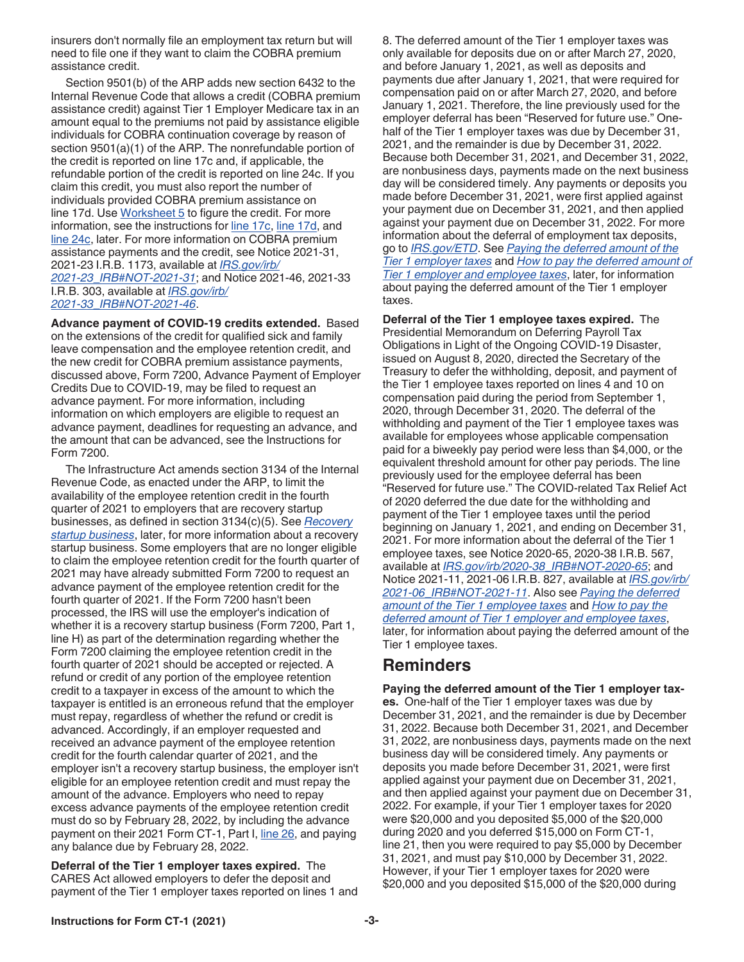<span id="page-2-0"></span>insurers don't normally file an employment tax return but will need to file one if they want to claim the COBRA premium assistance credit.

Section 9501(b) of the ARP adds new section 6432 to the Internal Revenue Code that allows a credit (COBRA premium assistance credit) against Tier 1 Employer Medicare tax in an amount equal to the premiums not paid by assistance eligible individuals for COBRA continuation coverage by reason of section 9501(a)(1) of the ARP. The nonrefundable portion of the credit is reported on line 17c and, if applicable, the refundable portion of the credit is reported on line 24c. If you claim this credit, you must also report the number of individuals provided COBRA premium assistance on line 17d. Use [Worksheet 5](#page-26-0) to figure the credit. For more information, see the instructions for [line 17c,](#page-15-0) [line 17d,](#page-15-0) and [line 24c](#page-16-0), later. For more information on COBRA premium assistance payments and the credit, see Notice 2021-31, 2021-23 I.R.B. 1173, available at *[IRS.gov/irb/](https://www.irs.gov/irb/2021-23_IRB#NOT-2021-31) [2021-23\\_IRB#NOT-2021-31](https://www.irs.gov/irb/2021-23_IRB#NOT-2021-31)*; and Notice 2021-46, 2021-33 I.R.B. 303, available at *[IRS.gov/irb/](https://www.irs.gov/irb/2021-33_IRB#NOT-2021-46) [2021-33\\_IRB#NOT-2021-46](https://www.irs.gov/irb/2021-33_IRB#NOT-2021-46)*.

**Advance payment of COVID-19 credits extended.** Based on the extensions of the credit for qualified sick and family leave compensation and the employee retention credit, and the new credit for COBRA premium assistance payments, discussed above, Form 7200, Advance Payment of Employer Credits Due to COVID-19, may be filed to request an advance payment. For more information, including information on which employers are eligible to request an advance payment, deadlines for requesting an advance, and the amount that can be advanced, see the Instructions for Form 7200.

The Infrastructure Act amends section 3134 of the Internal Revenue Code, as enacted under the ARP, to limit the availability of the employee retention credit in the fourth quarter of 2021 to employers that are recovery startup businesses, as defined in section 3134(c)(5). See *[Recovery](#page-14-0) [startup business](#page-14-0)*, later, for more information about a recovery startup business. Some employers that are no longer eligible to claim the employee retention credit for the fourth quarter of 2021 may have already submitted Form 7200 to request an advance payment of the employee retention credit for the fourth quarter of 2021. If the Form 7200 hasn't been processed, the IRS will use the employer's indication of whether it is a recovery startup business (Form 7200, Part 1, line H) as part of the determination regarding whether the Form 7200 claiming the employee retention credit in the fourth quarter of 2021 should be accepted or rejected. A refund or credit of any portion of the employee retention credit to a taxpayer in excess of the amount to which the taxpayer is entitled is an erroneous refund that the employer must repay, regardless of whether the refund or credit is advanced. Accordingly, if an employer requested and received an advance payment of the employee retention credit for the fourth calendar quarter of 2021, and the employer isn't a recovery startup business, the employer isn't eligible for an employee retention credit and must repay the amount of the advance. Employers who need to repay excess advance payments of the employee retention credit must do so by February 28, 2022, by including the advance payment on their 2021 Form CT-1, Part I, [line 26](#page-16-0), and paying any balance due by February 28, 2022.

**Deferral of the Tier 1 employer taxes expired.** The CARES Act allowed employers to defer the deposit and payment of the Tier 1 employer taxes reported on lines 1 and 8. The deferred amount of the Tier 1 employer taxes was only available for deposits due on or after March 27, 2020, and before January 1, 2021, as well as deposits and payments due after January 1, 2021, that were required for compensation paid on or after March 27, 2020, and before January 1, 2021. Therefore, the line previously used for the employer deferral has been "Reserved for future use." Onehalf of the Tier 1 employer taxes was due by December 31, 2021, and the remainder is due by December 31, 2022. Because both December 31, 2021, and December 31, 2022, are nonbusiness days, payments made on the next business day will be considered timely. Any payments or deposits you made before December 31, 2021, were first applied against your payment due on December 31, 2021, and then applied against your payment due on December 31, 2022. For more information about the deferral of employment tax deposits, go to *[IRS.gov/ETD](https://www.irs.gov/ETD)*. See *Paying the deferred amount of the Tier 1 employer taxes* and *[How to pay the deferred amount of](#page-3-0)  [Tier 1 employer and employee taxes](#page-3-0)*, later, for information about paying the deferred amount of the Tier 1 employer taxes.

**Deferral of the Tier 1 employee taxes expired.** The Presidential Memorandum on Deferring Payroll Tax Obligations in Light of the Ongoing COVID-19 Disaster, issued on August 8, 2020, directed the Secretary of the Treasury to defer the withholding, deposit, and payment of the Tier 1 employee taxes reported on lines 4 and 10 on compensation paid during the period from September 1, 2020, through December 31, 2020. The deferral of the withholding and payment of the Tier 1 employee taxes was available for employees whose applicable compensation paid for a biweekly pay period were less than \$4,000, or the equivalent threshold amount for other pay periods. The line previously used for the employee deferral has been "Reserved for future use." The COVID-related Tax Relief Act of 2020 deferred the due date for the withholding and payment of the Tier 1 employee taxes until the period beginning on January 1, 2021, and ending on December 31, 2021. For more information about the deferral of the Tier 1 employee taxes, see Notice 2020-65, 2020-38 I.R.B. 567, available at *[IRS.gov/irb/2020-38\\_IRB#NOT-2020-65](https://www.irs.gov/irb/2020-38_IRB#NOT-2020-65)*; and Notice 2021-11, 2021-06 I.R.B. 827, available at *[IRS.gov/irb/](https://www.irs.gov/irb/2021-06_IRB#NOT-2021-11) [2021-06\\_IRB#NOT-2021-11](https://www.irs.gov/irb/2021-06_IRB#NOT-2021-11)*. Also see *[Paying the deferred](#page-3-0) [amount of the Tier 1 employee taxes](#page-3-0)* and *[How to pay the](#page-3-0)  [deferred amount of Tier 1 employer and employee taxes](#page-3-0)*, later, for information about paying the deferred amount of the Tier 1 employee taxes.

#### **Reminders**

**Paying the deferred amount of the Tier 1 employer taxes.** One-half of the Tier 1 employer taxes was due by December 31, 2021, and the remainder is due by December 31, 2022. Because both December 31, 2021, and December 31, 2022, are nonbusiness days, payments made on the next business day will be considered timely. Any payments or deposits you made before December 31, 2021, were first applied against your payment due on December 31, 2021, and then applied against your payment due on December 31, 2022. For example, if your Tier 1 employer taxes for 2020 were \$20,000 and you deposited \$5,000 of the \$20,000 during 2020 and you deferred \$15,000 on Form CT-1, line 21, then you were required to pay \$5,000 by December 31, 2021, and must pay \$10,000 by December 31, 2022. However, if your Tier 1 employer taxes for 2020 were \$20,000 and you deposited \$15,000 of the \$20,000 during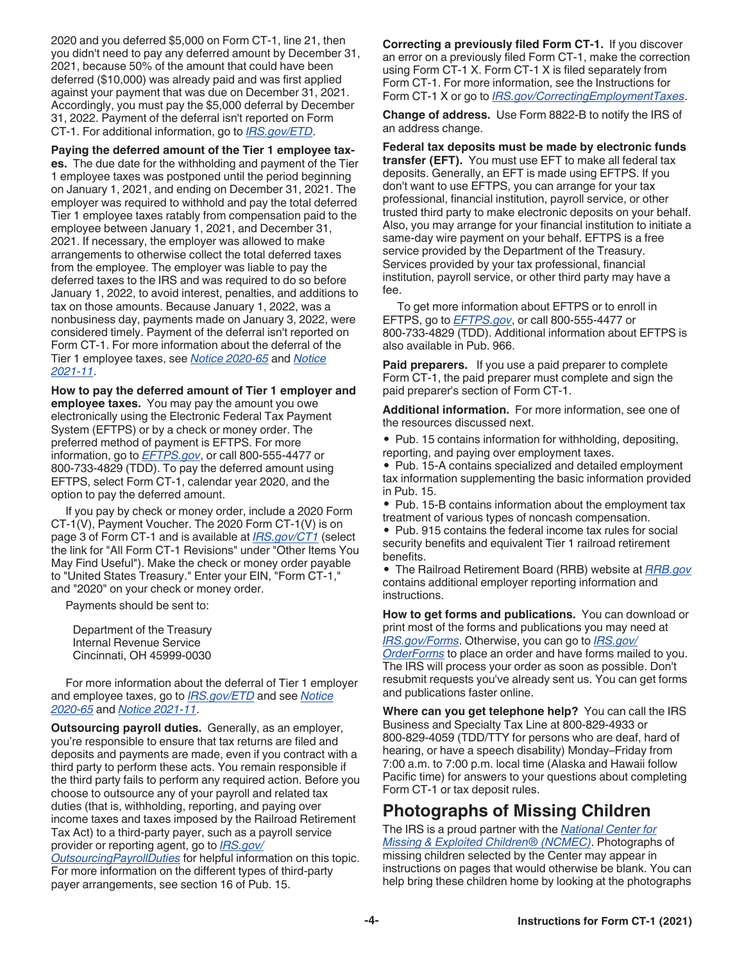<span id="page-3-0"></span>2020 and you deferred \$5,000 on Form CT-1, line 21, then you didn't need to pay any deferred amount by December 31, 2021, because 50% of the amount that could have been deferred (\$10,000) was already paid and was first applied against your payment that was due on December 31, 2021. Accordingly, you must pay the \$5,000 deferral by December 31, 2022. Payment of the deferral isn't reported on Form CT-1. For additional information, go to *[IRS.gov/ETD](https://www.irs.gov/ETD)*.

**Paying the deferred amount of the Tier 1 employee tax-**

**es.** The due date for the withholding and payment of the Tier 1 employee taxes was postponed until the period beginning on January 1, 2021, and ending on December 31, 2021. The employer was required to withhold and pay the total deferred Tier 1 employee taxes ratably from compensation paid to the employee between January 1, 2021, and December 31, 2021. If necessary, the employer was allowed to make arrangements to otherwise collect the total deferred taxes from the employee. The employer was liable to pay the deferred taxes to the IRS and was required to do so before January 1, 2022, to avoid interest, penalties, and additions to tax on those amounts. Because January 1, 2022, was a nonbusiness day, payments made on January 3, 2022, were considered timely. Payment of the deferral isn't reported on Form CT-1. For more information about the deferral of the Tier 1 employee taxes, see *[Notice 2020-65](https://www.irs.gov/irb/2020-38_IRB#NOT-2020-65)* and *[Notice](https://www.irs.gov/irb/2021-06_IRB#NOT-2021-11)  [2021-11](https://www.irs.gov/irb/2021-06_IRB#NOT-2021-11)*.

**How to pay the deferred amount of Tier 1 employer and employee taxes.** You may pay the amount you owe electronically using the Electronic Federal Tax Payment System (EFTPS) or by a check or money order. The preferred method of payment is EFTPS. For more information, go to *[EFTPS.gov](https://www.eftps.gov)*, or call 800-555-4477 or 800-733-4829 (TDD). To pay the deferred amount using EFTPS, select Form CT-1, calendar year 2020, and the option to pay the deferred amount.

If you pay by check or money order, include a 2020 Form CT-1(V), Payment Voucher. The 2020 Form CT-1(V) is on page 3 of Form CT-1 and is available at *[IRS.gov/CT1](https://www.irs.gov/ct1)* (select the link for "All Form CT-1 Revisions" under "Other Items You May Find Useful"). Make the check or money order payable to "United States Treasury." Enter your EIN, "Form CT-1," and "2020" on your check or money order.

Payments should be sent to:

Department of the Treasury Internal Revenue Service Cincinnati, OH 45999-0030

For more information about the deferral of Tier 1 employer and employee taxes, go to *[IRS.gov/ETD](https://www.irs.gov/ETD)* and see *[Notice](https://www.irs.gov/irb/2020-38_IRB#NOT-2020-65)  [2020-65](https://www.irs.gov/irb/2020-38_IRB#NOT-2020-65)* and *[Notice 2021-11](https://www.irs.gov/irb/2021-06_IRB#NOT-2021-11)*.

**Outsourcing payroll duties.** Generally, as an employer, you're responsible to ensure that tax returns are filed and deposits and payments are made, even if you contract with a third party to perform these acts. You remain responsible if the third party fails to perform any required action. Before you choose to outsource any of your payroll and related tax duties (that is, withholding, reporting, and paying over income taxes and taxes imposed by the Railroad Retirement Tax Act) to a third-party payer, such as a payroll service provider or reporting agent, go to *[IRS.gov/](https://www.irs.gov/outsourcingpayrollduties)*

*[OutsourcingPayrollDuties](https://www.irs.gov/outsourcingpayrollduties)* for helpful information on this topic. For more information on the different types of third-party payer arrangements, see section 16 of Pub. 15.

**Correcting a previously filed Form CT-1.** If you discover an error on a previously filed Form CT-1, make the correction using Form CT-1 X. Form CT-1 X is filed separately from Form CT-1. For more information, see the Instructions for Form CT-1 X or go to *[IRS.gov/CorrectingEmploymentTaxes](https://www.irs.gov/correctingemploymenttaxes)*.

**Change of address.** Use Form 8822-B to notify the IRS of an address change.

**Federal tax deposits must be made by electronic funds transfer (EFT).** You must use EFT to make all federal tax deposits. Generally, an EFT is made using EFTPS. If you don't want to use EFTPS, you can arrange for your tax professional, financial institution, payroll service, or other trusted third party to make electronic deposits on your behalf. Also, you may arrange for your financial institution to initiate a same-day wire payment on your behalf. EFTPS is a free service provided by the Department of the Treasury. Services provided by your tax professional, financial institution, payroll service, or other third party may have a fee.

To get more information about EFTPS or to enroll in EFTPS, go to *[EFTPS.gov](https://www.eftps.gov)*, or call 800-555-4477 or 800-733-4829 (TDD). Additional information about EFTPS is also available in Pub. 966.

**Paid preparers.** If you use a paid preparer to complete Form CT-1, the paid preparer must complete and sign the paid preparer's section of Form CT-1.

**Additional information.** For more information, see one of the resources discussed next.

• Pub. 15 contains information for withholding, depositing, reporting, and paying over employment taxes.

• Pub. 15-A contains specialized and detailed employment tax information supplementing the basic information provided in Pub. 15.

• Pub. 15-B contains information about the employment tax treatment of various types of noncash compensation.

• Pub. 915 contains the federal income tax rules for social security benefits and equivalent Tier 1 railroad retirement benefits.

• The Railroad Retirement Board (RRB) website at *[RRB.gov](https://www.rrb.gov)*  contains additional employer reporting information and instructions.

**How to get forms and publications.** You can download or print most of the forms and publications you may need at *[IRS.gov/Forms](https://www.irs.gov/forms)*. Otherwise, you can go to *[IRS.gov/](https://www.irs.gov/orderforms) [OrderForms](https://www.irs.gov/orderforms)* to place an order and have forms mailed to you. The IRS will process your order as soon as possible. Don't resubmit requests you've already sent us. You can get forms and publications faster online.

**Where can you get telephone help?** You can call the IRS Business and Specialty Tax Line at 800-829-4933 or 800-829-4059 (TDD/TTY for persons who are deaf, hard of hearing, or have a speech disability) Monday–Friday from 7:00 a.m. to 7:00 p.m. local time (Alaska and Hawaii follow Pacific time) for answers to your questions about completing Form CT-1 or tax deposit rules.

#### **Photographs of Missing Children**

The IRS is a proud partner with the *[National Center for](http://www.missingkids.org/) [Missing & Exploited Children® \(NCMEC\)](http://www.missingkids.org/)*. Photographs of missing children selected by the Center may appear in instructions on pages that would otherwise be blank. You can help bring these children home by looking at the photographs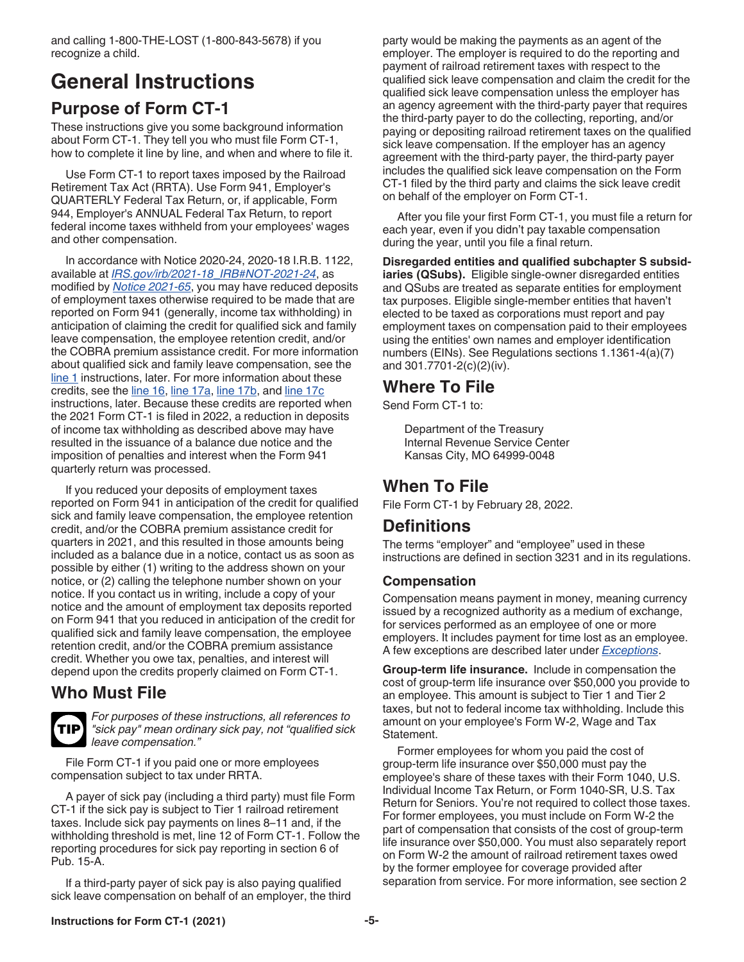### <span id="page-4-0"></span>**General Instructions Purpose of Form CT-1**

These instructions give you some background information about Form CT-1. They tell you who must file Form CT-1, how to complete it line by line, and when and where to file it.

Use Form CT-1 to report taxes imposed by the Railroad Retirement Tax Act (RRTA). Use Form 941, Employer's QUARTERLY Federal Tax Return, or, if applicable, Form 944, Employer's ANNUAL Federal Tax Return, to report federal income taxes withheld from your employees' wages and other compensation.

In accordance with Notice 2020-24, 2020-18 I.R.B. 1122, available at *[IRS.gov/irb/2021-18\\_IRB#NOT-2021-24](https://www.irs.gov/irb/2021-18_IRB#NOT-2021-24)*, as modified by *[Notice 2021-65](https://www.irs.gov/irb/2021-51_IRB#NOT-2021-65)*, you may have reduced deposits of employment taxes otherwise required to be made that are reported on Form 941 (generally, income tax withholding) in anticipation of claiming the credit for qualified sick and family leave compensation, the employee retention credit, and/or the COBRA premium assistance credit. For more information about qualified sick and family leave compensation, see the [line 1](#page-9-0) instructions, later. For more information about these credits, see the [line 16,](#page-12-0) [line 17a](#page-12-0), [line 17b](#page-14-0), and line 17c instructions, later. Because these credits are reported when the 2021 Form CT-1 is filed in 2022, a reduction in deposits of income tax withholding as described above may have resulted in the issuance of a balance due notice and the imposition of penalties and interest when the Form 941 quarterly return was processed.

If you reduced your deposits of employment taxes reported on Form 941 in anticipation of the credit for qualified sick and family leave compensation, the employee retention credit, and/or the COBRA premium assistance credit for quarters in 2021, and this resulted in those amounts being included as a balance due in a notice, contact us as soon as possible by either (1) writing to the address shown on your notice, or (2) calling the telephone number shown on your notice. If you contact us in writing, include a copy of your notice and the amount of employment tax deposits reported on Form 941 that you reduced in anticipation of the credit for qualified sick and family leave compensation, the employee retention credit, and/or the COBRA premium assistance credit. Whether you owe tax, penalties, and interest will depend upon the credits properly claimed on Form CT-1.

#### **Who Must File**

**TIP**

*For purposes of these instructions, all references to "sick pay" mean ordinary sick pay, not "qualified sick leave compensation."*

File Form CT-1 if you paid one or more employees compensation subject to tax under RRTA.

A payer of sick pay (including a third party) must file Form CT-1 if the sick pay is subject to Tier 1 railroad retirement taxes. Include sick pay payments on lines 8–11 and, if the withholding threshold is met, line 12 of Form CT-1. Follow the reporting procedures for sick pay reporting in section 6 of Pub. 15-A.

If a third-party payer of sick pay is also paying qualified sick leave compensation on behalf of an employer, the third party would be making the payments as an agent of the employer. The employer is required to do the reporting and payment of railroad retirement taxes with respect to the qualified sick leave compensation and claim the credit for the qualified sick leave compensation unless the employer has an agency agreement with the third-party payer that requires the third-party payer to do the collecting, reporting, and/or paying or depositing railroad retirement taxes on the qualified sick leave compensation. If the employer has an agency agreement with the third-party payer, the third-party payer includes the qualified sick leave compensation on the Form CT-1 filed by the third party and claims the sick leave credit on behalf of the employer on Form CT-1.

After you file your first Form CT-1, you must file a return for each year, even if you didn't pay taxable compensation during the year, until you file a final return.

**Disregarded entities and qualified subchapter S subsidiaries (QSubs).** Eligible single-owner disregarded entities and QSubs are treated as separate entities for employment tax purposes. Eligible single-member entities that haven't elected to be taxed as corporations must report and pay employment taxes on compensation paid to their employees using the entities' own names and employer identification numbers (EINs). See Regulations sections 1.1361-4(a)(7) and 301.7701-2(c)(2)(iv).

### **Where To File**

Send Form CT-1 to:

Department of the Treasury Internal Revenue Service Center Kansas City, MO 64999-0048

### **When To File**

File Form CT-1 by February 28, 2022.

#### **Definitions**

The terms "employer" and "employee" used in these instructions are defined in section 3231 and in its regulations.

#### **Compensation**

Compensation means payment in money, meaning currency issued by a recognized authority as a medium of exchange, for services performed as an employee of one or more employers. It includes payment for time lost as an employee. A few exceptions are described later under *[Exceptions](#page-5-0)*.

**Group-term life insurance.** Include in compensation the cost of group-term life insurance over \$50,000 you provide to an employee. This amount is subject to Tier 1 and Tier 2 taxes, but not to federal income tax withholding. Include this amount on your employee's Form W-2, Wage and Tax Statement.

Former employees for whom you paid the cost of group-term life insurance over \$50,000 must pay the employee's share of these taxes with their Form 1040, U.S. Individual Income Tax Return, or Form 1040-SR, U.S. Tax Return for Seniors. You're not required to collect those taxes. For former employees, you must include on Form W-2 the part of compensation that consists of the cost of group-term life insurance over \$50,000. You must also separately report on Form W-2 the amount of railroad retirement taxes owed by the former employee for coverage provided after separation from service. For more information, see section 2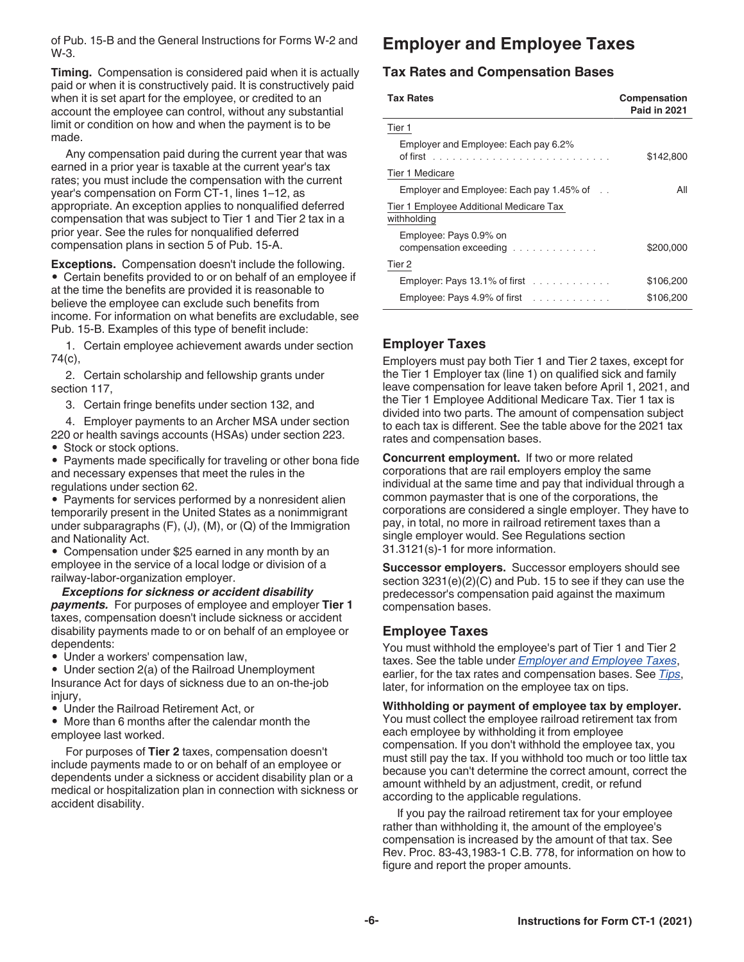<span id="page-5-0"></span>of Pub. 15-B and the General Instructions for Forms W-2 and W-3.

**Timing.** Compensation is considered paid when it is actually paid or when it is constructively paid. It is constructively paid when it is set apart for the employee, or credited to an account the employee can control, without any substantial limit or condition on how and when the payment is to be made.

Any compensation paid during the current year that was earned in a prior year is taxable at the current year's tax rates; you must include the compensation with the current year's compensation on Form CT-1, lines 1–12, as appropriate. An exception applies to nonqualified deferred compensation that was subject to Tier 1 and Tier 2 tax in a prior year. See the rules for nonqualified deferred compensation plans in section 5 of Pub. 15-A.

**Exceptions.** Compensation doesn't include the following. • Certain benefits provided to or on behalf of an employee if at the time the benefits are provided it is reasonable to believe the employee can exclude such benefits from income. For information on what benefits are excludable, see Pub. 15-B. Examples of this type of benefit include:

1. Certain employee achievement awards under section 74(c),

2. Certain scholarship and fellowship grants under section 117,

3. Certain fringe benefits under section 132, and

4. Employer payments to an Archer MSA under section 220 or health savings accounts (HSAs) under section 223.

• Stock or stock options.

• Payments made specifically for traveling or other bona fide and necessary expenses that meet the rules in the regulations under section 62.

• Payments for services performed by a nonresident alien temporarily present in the United States as a nonimmigrant under subparagraphs  $(F)$ ,  $(J)$ ,  $(M)$ , or  $(Q)$  of the Immigration and Nationality Act.

• Compensation under \$25 earned in any month by an employee in the service of a local lodge or division of a railway-labor-organization employer.

*Exceptions for sickness or accident disability payments.* For purposes of employee and employer **Tier 1**  taxes, compensation doesn't include sickness or accident disability payments made to or on behalf of an employee or dependents:

• Under a workers' compensation law,

• Under section 2(a) of the Railroad Unemployment Insurance Act for days of sickness due to an on-the-job injury,

• Under the Railroad Retirement Act, or

• More than 6 months after the calendar month the employee last worked.

For purposes of **Tier 2** taxes, compensation doesn't include payments made to or on behalf of an employee or dependents under a sickness or accident disability plan or a medical or hospitalization plan in connection with sickness or accident disability.

### **Employer and Employee Taxes**

#### **Tax Rates and Compensation Bases**

| <b>Tax Rates</b>                                       | Compensation<br><b>Paid in 2021</b> |  |  |  |
|--------------------------------------------------------|-------------------------------------|--|--|--|
| Tier 1                                                 |                                     |  |  |  |
| Employer and Employee: Each pay 6.2%                   | \$142,800                           |  |  |  |
| Tier 1 Medicare                                        |                                     |  |  |  |
| Employer and Employee: Each pay $1.45\%$ of $\ldots$   | All                                 |  |  |  |
| Tier 1 Employee Additional Medicare Tax<br>withholding |                                     |  |  |  |
| Employee: Pays 0.9% on<br>compensation exceeding       | \$200,000                           |  |  |  |
| Tier 2                                                 |                                     |  |  |  |
| Employer: Pays 13.1% of first $\ldots \ldots \ldots$   | \$106.200                           |  |  |  |
| Employee: Pays 4.9% of first                           | \$106,200                           |  |  |  |

#### **Employer Taxes**

Employers must pay both Tier 1 and Tier 2 taxes, except for the Tier 1 Employer tax (line 1) on qualified sick and family leave compensation for leave taken before April 1, 2021, and the Tier 1 Employee Additional Medicare Tax. Tier 1 tax is divided into two parts. The amount of compensation subject to each tax is different. See the table above for the 2021 tax rates and compensation bases.

**Concurrent employment.** If two or more related corporations that are rail employers employ the same individual at the same time and pay that individual through a common paymaster that is one of the corporations, the corporations are considered a single employer. They have to pay, in total, no more in railroad retirement taxes than a single employer would. See Regulations section 31.3121(s)-1 for more information.

**Successor employers.** Successor employers should see section 3231(e)(2)(C) and Pub. 15 to see if they can use the predecessor's compensation paid against the maximum compensation bases.

#### **Employee Taxes**

You must withhold the employee's part of Tier 1 and Tier 2 taxes. See the table under *Employer and Employee Taxes*, earlier, for the tax rates and compensation bases. See *[Tips](#page-6-0)*, later, for information on the employee tax on tips.

**Withholding or payment of employee tax by employer.**  You must collect the employee railroad retirement tax from each employee by withholding it from employee compensation. If you don't withhold the employee tax, you must still pay the tax. If you withhold too much or too little tax because you can't determine the correct amount, correct the amount withheld by an adjustment, credit, or refund according to the applicable regulations.

If you pay the railroad retirement tax for your employee rather than withholding it, the amount of the employee's compensation is increased by the amount of that tax. See Rev. Proc. 83-43,1983-1 C.B. 778, for information on how to figure and report the proper amounts.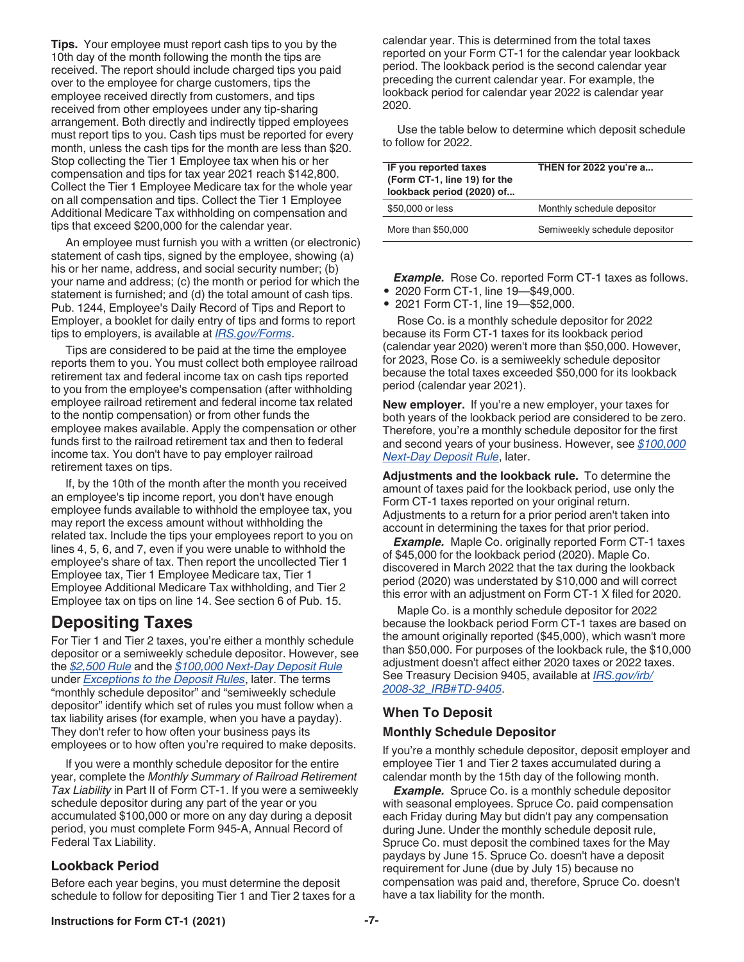<span id="page-6-0"></span>**Tips.** Your employee must report cash tips to you by the 10th day of the month following the month the tips are received. The report should include charged tips you paid over to the employee for charge customers, tips the employee received directly from customers, and tips received from other employees under any tip-sharing arrangement. Both directly and indirectly tipped employees must report tips to you. Cash tips must be reported for every month, unless the cash tips for the month are less than \$20. Stop collecting the Tier 1 Employee tax when his or her compensation and tips for tax year 2021 reach \$142,800. Collect the Tier 1 Employee Medicare tax for the whole year on all compensation and tips. Collect the Tier 1 Employee Additional Medicare Tax withholding on compensation and tips that exceed \$200,000 for the calendar year.

An employee must furnish you with a written (or electronic) statement of cash tips, signed by the employee, showing (a) his or her name, address, and social security number; (b) your name and address; (c) the month or period for which the statement is furnished; and (d) the total amount of cash tips. Pub. 1244, Employee's Daily Record of Tips and Report to Employer, a booklet for daily entry of tips and forms to report tips to employers, is available at *[IRS.gov/Forms](https://www.irs.gov/forms)*.

Tips are considered to be paid at the time the employee reports them to you. You must collect both employee railroad retirement tax and federal income tax on cash tips reported to you from the employee's compensation (after withholding employee railroad retirement and federal income tax related to the nontip compensation) or from other funds the employee makes available. Apply the compensation or other funds first to the railroad retirement tax and then to federal income tax. You don't have to pay employer railroad retirement taxes on tips.

If, by the 10th of the month after the month you received an employee's tip income report, you don't have enough employee funds available to withhold the employee tax, you may report the excess amount without withholding the related tax. Include the tips your employees report to you on lines 4, 5, 6, and 7, even if you were unable to withhold the employee's share of tax. Then report the uncollected Tier 1 Employee tax, Tier 1 Employee Medicare tax, Tier 1 Employee Additional Medicare Tax withholding, and Tier 2 Employee tax on tips on line 14. See section 6 of Pub. 15.

#### **Depositing Taxes**

For Tier 1 and Tier 2 taxes, you're either a monthly schedule depositor or a semiweekly schedule depositor. However, see the *[\\$2,500 Rule](#page-7-0)* and the *[\\$100,000 Next-Day Deposit Rule](#page-7-0)*  under *[Exceptions to the Deposit Rules](#page-7-0)*, later. The terms "monthly schedule depositor" and "semiweekly schedule depositor" identify which set of rules you must follow when a tax liability arises (for example, when you have a payday). They don't refer to how often your business pays its employees or to how often you're required to make deposits.

If you were a monthly schedule depositor for the entire year, complete the *Monthly Summary of Railroad Retirement Tax Liability* in Part II of Form CT-1. If you were a semiweekly schedule depositor during any part of the year or you accumulated \$100,000 or more on any day during a deposit period, you must complete Form 945-A, Annual Record of Federal Tax Liability.

#### **Lookback Period**

Before each year begins, you must determine the deposit schedule to follow for depositing Tier 1 and Tier 2 taxes for a calendar year. This is determined from the total taxes reported on your Form CT-1 for the calendar year lookback period. The lookback period is the second calendar year preceding the current calendar year. For example, the lookback period for calendar year 2022 is calendar year 2020.

Use the table below to determine which deposit schedule to follow for 2022.

| IF you reported taxes<br>(Form CT-1, line 19) for the<br>lookback period (2020) of | THEN for 2022 you're a        |  |  |  |  |  |
|------------------------------------------------------------------------------------|-------------------------------|--|--|--|--|--|
| \$50,000 or less                                                                   | Monthly schedule depositor    |  |  |  |  |  |
| More than \$50,000                                                                 | Semiweekly schedule depositor |  |  |  |  |  |

**Example.** Rose Co. reported Form CT-1 taxes as follows.

• 2020 Form CT-1, line 19—\$49,000. • 2021 Form CT-1, line 19—\$52,000.

Rose Co. is a monthly schedule depositor for 2022 because its Form CT-1 taxes for its lookback period (calendar year 2020) weren't more than \$50,000. However, for 2023, Rose Co. is a semiweekly schedule depositor because the total taxes exceeded \$50,000 for its lookback period (calendar year 2021).

**New employer.** If you're a new employer, your taxes for both years of the lookback period are considered to be zero. Therefore, you're a monthly schedule depositor for the first and second years of your business. However, see *[\\$100,000](#page-7-0)  [Next-Day Deposit Rule](#page-7-0)*, later.

**Adjustments and the lookback rule.** To determine the amount of taxes paid for the lookback period, use only the Form CT-1 taxes reported on your original return. Adjustments to a return for a prior period aren't taken into account in determining the taxes for that prior period.

*Example.* Maple Co. originally reported Form CT-1 taxes of \$45,000 for the lookback period (2020). Maple Co. discovered in March 2022 that the tax during the lookback period (2020) was understated by \$10,000 and will correct this error with an adjustment on Form CT-1 X filed for 2020.

Maple Co. is a monthly schedule depositor for 2022 because the lookback period Form CT-1 taxes are based on the amount originally reported (\$45,000), which wasn't more than \$50,000. For purposes of the lookback rule, the \$10,000 adjustment doesn't affect either 2020 taxes or 2022 taxes. See Treasury Decision 9405, available at *[IRS.gov/irb/](https://www.irs.gov/irb/2008-32_IRB#TD-9405) [2008-32\\_IRB#TD-9405](https://www.irs.gov/irb/2008-32_IRB#TD-9405)*.

#### **When To Deposit**

#### **Monthly Schedule Depositor**

If you're a monthly schedule depositor, deposit employer and employee Tier 1 and Tier 2 taxes accumulated during a calendar month by the 15th day of the following month.

*Example.* Spruce Co. is a monthly schedule depositor with seasonal employees. Spruce Co. paid compensation each Friday during May but didn't pay any compensation during June. Under the monthly schedule deposit rule, Spruce Co. must deposit the combined taxes for the May paydays by June 15. Spruce Co. doesn't have a deposit requirement for June (due by July 15) because no compensation was paid and, therefore, Spruce Co. doesn't have a tax liability for the month.

#### **Instructions for Form CT-1 (2021) -7-**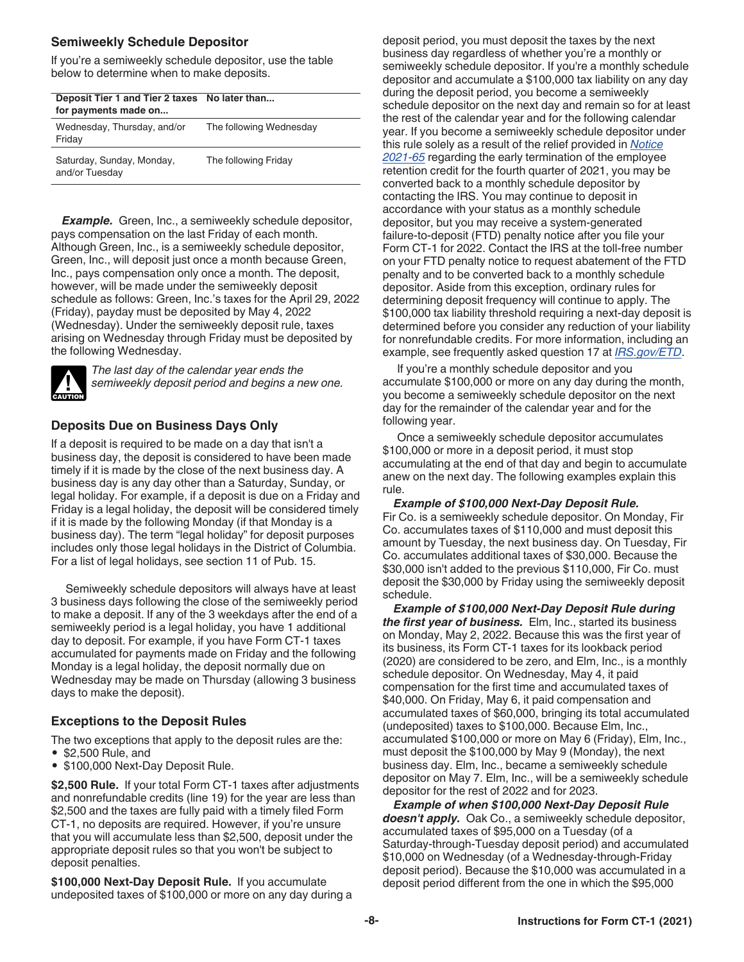#### <span id="page-7-0"></span>**Semiweekly Schedule Depositor**

If you're a semiweekly schedule depositor, use the table below to determine when to make deposits.

| Deposit Tier 1 and Tier 2 taxes No later than<br>for payments made on |                         |
|-----------------------------------------------------------------------|-------------------------|
| Wednesday, Thursday, and/or<br>Friday                                 | The following Wednesday |
| Saturday, Sunday, Monday,<br>and/or Tuesday                           | The following Friday    |

**Example.** Green, Inc., a semiweekly schedule depositor, pays compensation on the last Friday of each month. Although Green, Inc., is a semiweekly schedule depositor, Green, Inc., will deposit just once a month because Green, Inc., pays compensation only once a month. The deposit, however, will be made under the semiweekly deposit schedule as follows: Green, Inc.'s taxes for the April 29, 2022 (Friday), payday must be deposited by May 4, 2022 (Wednesday). Under the semiweekly deposit rule, taxes arising on Wednesday through Friday must be deposited by the following Wednesday.



*The last day of the calendar year ends the semiweekly deposit period and begins a new one.*

#### **Deposits Due on Business Days Only**

If a deposit is required to be made on a day that isn't a business day, the deposit is considered to have been made timely if it is made by the close of the next business day. A business day is any day other than a Saturday, Sunday, or legal holiday. For example, if a deposit is due on a Friday and Friday is a legal holiday, the deposit will be considered timely if it is made by the following Monday (if that Monday is a business day). The term "legal holiday" for deposit purposes includes only those legal holidays in the District of Columbia. For a list of legal holidays, see section 11 of Pub. 15.

Semiweekly schedule depositors will always have at least 3 business days following the close of the semiweekly period to make a deposit. If any of the 3 weekdays after the end of a semiweekly period is a legal holiday, you have 1 additional day to deposit. For example, if you have Form CT-1 taxes accumulated for payments made on Friday and the following Monday is a legal holiday, the deposit normally due on Wednesday may be made on Thursday (allowing 3 business days to make the deposit).

#### **Exceptions to the Deposit Rules**

The two exceptions that apply to the deposit rules are the: • \$2,500 Rule, and

• \$100,000 Next-Day Deposit Rule.

**\$2,500 Rule.** If your total Form CT-1 taxes after adjustments and nonrefundable credits (line 19) for the year are less than \$2,500 and the taxes are fully paid with a timely filed Form CT-1, no deposits are required. However, if you're unsure that you will accumulate less than \$2,500, deposit under the appropriate deposit rules so that you won't be subject to deposit penalties.

**\$100,000 Next-Day Deposit Rule.** If you accumulate undeposited taxes of \$100,000 or more on any day during a deposit period, you must deposit the taxes by the next business day regardless of whether you're a monthly or semiweekly schedule depositor. If you're a monthly schedule depositor and accumulate a \$100,000 tax liability on any day during the deposit period, you become a semiweekly schedule depositor on the next day and remain so for at least the rest of the calendar year and for the following calendar year. If you become a semiweekly schedule depositor under this rule solely as a result of the relief provided in *[Notice](https://www.irs.gov/irb/2021-51_IRB#NOT-2021-65)  [2021-65](https://www.irs.gov/irb/2021-51_IRB#NOT-2021-65)* regarding the early termination of the employee retention credit for the fourth quarter of 2021, you may be converted back to a monthly schedule depositor by contacting the IRS. You may continue to deposit in accordance with your status as a monthly schedule depositor, but you may receive a system-generated failure-to-deposit (FTD) penalty notice after you file your Form CT-1 for 2022. Contact the IRS at the toll-free number on your FTD penalty notice to request abatement of the FTD penalty and to be converted back to a monthly schedule depositor. Aside from this exception, ordinary rules for determining deposit frequency will continue to apply. The \$100,000 tax liability threshold requiring a next-day deposit is determined before you consider any reduction of your liability for nonrefundable credits. For more information, including an example, see frequently asked question 17 at *[IRS.gov/ETD](https://www.irs.gov/etd)*.

If you're a monthly schedule depositor and you accumulate \$100,000 or more on any day during the month, you become a semiweekly schedule depositor on the next day for the remainder of the calendar year and for the following year.

Once a semiweekly schedule depositor accumulates \$100,000 or more in a deposit period, it must stop accumulating at the end of that day and begin to accumulate anew on the next day. The following examples explain this rule.

#### *Example of \$100,000 Next-Day Deposit Rule.*

Fir Co. is a semiweekly schedule depositor. On Monday, Fir Co. accumulates taxes of \$110,000 and must deposit this amount by Tuesday, the next business day. On Tuesday, Fir Co. accumulates additional taxes of \$30,000. Because the \$30,000 isn't added to the previous \$110,000, Fir Co. must deposit the \$30,000 by Friday using the semiweekly deposit schedule.

*Example of \$100,000 Next-Day Deposit Rule during the first year of business.* Elm, Inc., started its business on Monday, May 2, 2022. Because this was the first year of its business, its Form CT-1 taxes for its lookback period (2020) are considered to be zero, and Elm, Inc., is a monthly schedule depositor. On Wednesday, May 4, it paid compensation for the first time and accumulated taxes of \$40,000. On Friday, May 6, it paid compensation and accumulated taxes of \$60,000, bringing its total accumulated (undeposited) taxes to \$100,000. Because Elm, Inc., accumulated \$100,000 or more on May 6 (Friday), Elm, Inc., must deposit the \$100,000 by May 9 (Monday), the next business day. Elm, Inc., became a semiweekly schedule depositor on May 7. Elm, Inc., will be a semiweekly schedule depositor for the rest of 2022 and for 2023.

*Example of when \$100,000 Next-Day Deposit Rule doesn't apply.* Oak Co., a semiweekly schedule depositor, accumulated taxes of \$95,000 on a Tuesday (of a Saturday-through-Tuesday deposit period) and accumulated \$10,000 on Wednesday (of a Wednesday-through-Friday deposit period). Because the \$10,000 was accumulated in a deposit period different from the one in which the \$95,000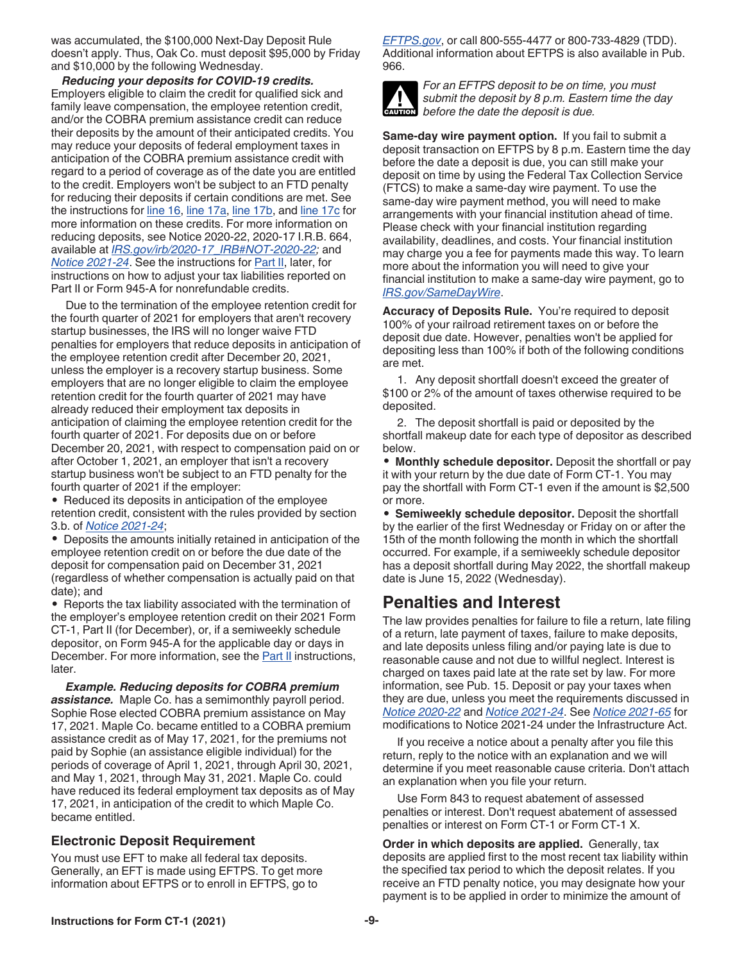<span id="page-8-0"></span>was accumulated, the \$100,000 Next-Day Deposit Rule doesn't apply. Thus, Oak Co. must deposit \$95,000 by Friday and \$10,000 by the following Wednesday.

*Reducing your deposits for COVID-19 credits.*  Employers eligible to claim the credit for qualified sick and family leave compensation, the employee retention credit, and/or the COBRA premium assistance credit can reduce their deposits by the amount of their anticipated credits. You may reduce your deposits of federal employment taxes in anticipation of the COBRA premium assistance credit with regard to a period of coverage as of the date you are entitled to the credit. Employers won't be subject to an FTD penalty for reducing their deposits if certain conditions are met. See the instructions for [line 16,](#page-12-0) [line 17a](#page-12-0), [line 17b](#page-14-0), and [line 17c](#page-15-0) for more information on these credits. For more information on reducing deposits, see Notice 2020-22, 2020-17 I.R.B. 664, available at *[IRS.gov/irb/2020-17\\_IRB#NOT-2020-22](https://www.irs.gov/irb/2020-17_IRB#NOT-2020-22);* and *[Notice 2021-24](https://www.irs.gov/irb/2021-18_IRB#NOT-2021-24)*. See the instructions for [Part II,](#page-19-0) later, for instructions on how to adjust your tax liabilities reported on Part II or Form 945-A for nonrefundable credits.

Due to the termination of the employee retention credit for the fourth quarter of 2021 for employers that aren't recovery startup businesses, the IRS will no longer waive FTD penalties for employers that reduce deposits in anticipation of the employee retention credit after December 20, 2021, unless the employer is a recovery startup business. Some employers that are no longer eligible to claim the employee retention credit for the fourth quarter of 2021 may have already reduced their employment tax deposits in anticipation of claiming the employee retention credit for the fourth quarter of 2021. For deposits due on or before December 20, 2021, with respect to compensation paid on or after October 1, 2021, an employer that isn't a recovery startup business won't be subject to an FTD penalty for the fourth quarter of 2021 if the employer:

• Reduced its deposits in anticipation of the employee retention credit, consistent with the rules provided by section 3.b. of *[Notice 2021-24](https://www.irs.gov/irb/2021-18_IRB#NOT-2021-24)*;

• Deposits the amounts initially retained in anticipation of the employee retention credit on or before the due date of the deposit for compensation paid on December 31, 2021 (regardless of whether compensation is actually paid on that date); and

• Reports the tax liability associated with the termination of the employer's employee retention credit on their 2021 Form CT-1, Part II (for December), or, if a semiweekly schedule depositor, on Form 945-A for the applicable day or days in December. For more information, see the [Part II](#page-19-0) instructions, later.

*Example. Reducing deposits for COBRA premium assistance.* Maple Co. has a semimonthly payroll period. Sophie Rose elected COBRA premium assistance on May 17, 2021. Maple Co. became entitled to a COBRA premium assistance credit as of May 17, 2021, for the premiums not paid by Sophie (an assistance eligible individual) for the periods of coverage of April 1, 2021, through April 30, 2021, and May 1, 2021, through May 31, 2021. Maple Co. could have reduced its federal employment tax deposits as of May 17, 2021, in anticipation of the credit to which Maple Co. became entitled.

#### **Electronic Deposit Requirement**

You must use EFT to make all federal tax deposits. Generally, an EFT is made using EFTPS. To get more information about EFTPS or to enroll in EFTPS, go to

*[EFTPS.gov](https://www.eftps.gov)*, or call 800-555-4477 or 800-733-4829 (TDD). Additional information about EFTPS is also available in Pub. 966.



*For an EFTPS deposit to be on time, you must submit the deposit by 8 p.m. Eastern time the day*  **c** submit the deposit by 8 p.m. Easte<br>before the date the deposit is due.

**Same-day wire payment option.** If you fail to submit a deposit transaction on EFTPS by 8 p.m. Eastern time the day before the date a deposit is due, you can still make your deposit on time by using the Federal Tax Collection Service (FTCS) to make a same-day wire payment. To use the same-day wire payment method, you will need to make arrangements with your financial institution ahead of time. Please check with your financial institution regarding availability, deadlines, and costs. Your financial institution may charge you a fee for payments made this way. To learn more about the information you will need to give your financial institution to make a same-day wire payment, go to *[IRS.gov/SameDayWire](https://www.irs.gov/samedaywire)*.

**Accuracy of Deposits Rule.** You're required to deposit 100% of your railroad retirement taxes on or before the deposit due date. However, penalties won't be applied for depositing less than 100% if both of the following conditions are met.

1. Any deposit shortfall doesn't exceed the greater of \$100 or 2% of the amount of taxes otherwise required to be deposited.

2. The deposit shortfall is paid or deposited by the shortfall makeup date for each type of depositor as described below.

• **Monthly schedule depositor.** Deposit the shortfall or pay it with your return by the due date of Form CT-1. You may pay the shortfall with Form CT-1 even if the amount is \$2,500 or more.

• **Semiweekly schedule depositor.** Deposit the shortfall by the earlier of the first Wednesday or Friday on or after the 15th of the month following the month in which the shortfall occurred. For example, if a semiweekly schedule depositor has a deposit shortfall during May 2022, the shortfall makeup date is June 15, 2022 (Wednesday).

#### **Penalties and Interest**

The law provides penalties for failure to file a return, late filing of a return, late payment of taxes, failure to make deposits, and late deposits unless filing and/or paying late is due to reasonable cause and not due to willful neglect. Interest is charged on taxes paid late at the rate set by law. For more information, see Pub. 15. Deposit or pay your taxes when they are due, unless you meet the requirements discussed in *[Notice 2020-22](https://www.IRS.gov/irb/2020-17_IRB#NOT-2020-22)* and *[Notice 2021-24](https://www.irs.gov/irb/2021-18_IRB#NOT-2021-24)*. See *[Notice 2021-65](https://www.irs.gov/irb/2021-51_IRB#NOT-2021-65)* for modifications to Notice 2021-24 under the Infrastructure Act.

If you receive a notice about a penalty after you file this return, reply to the notice with an explanation and we will determine if you meet reasonable cause criteria. Don't attach an explanation when you file your return.

Use Form 843 to request abatement of assessed penalties or interest. Don't request abatement of assessed penalties or interest on Form CT-1 or Form CT-1 X.

**Order in which deposits are applied.** Generally, tax deposits are applied first to the most recent tax liability within the specified tax period to which the deposit relates. If you receive an FTD penalty notice, you may designate how your payment is to be applied in order to minimize the amount of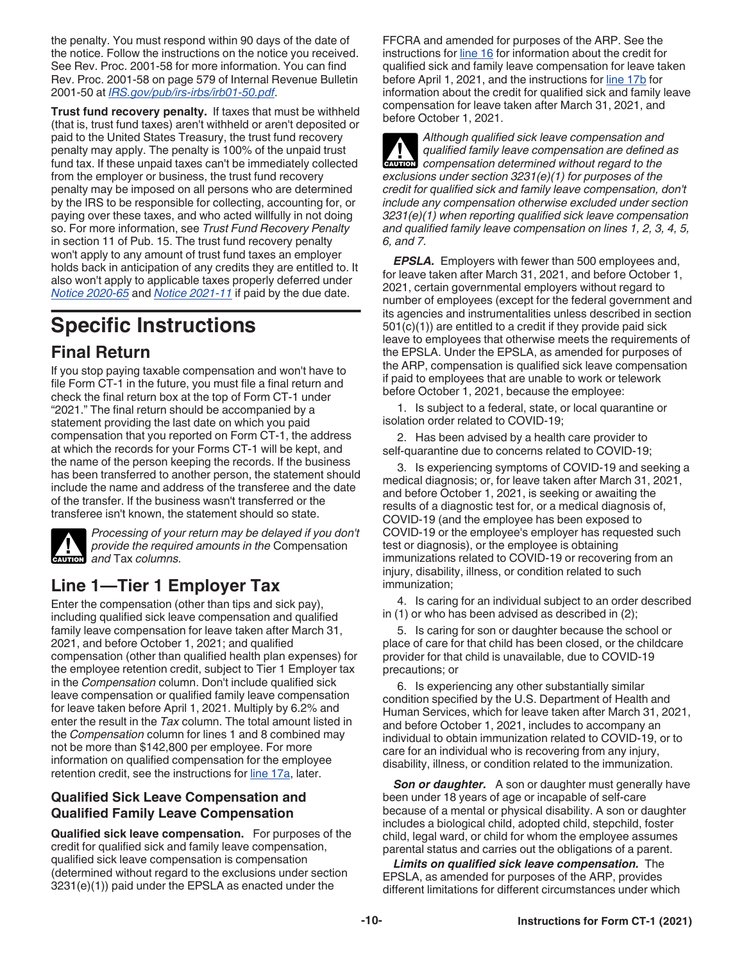<span id="page-9-0"></span>the penalty. You must respond within 90 days of the date of the notice. Follow the instructions on the notice you received. See Rev. Proc. 2001-58 for more information. You can find Rev. Proc. 2001-58 on page 579 of Internal Revenue Bulletin 2001-50 at *[IRS.gov/pub/irs-irbs/irb01-50.pdf](https://www.irs.gov/pub/irs-irbs/irb01-50.pdf)*.

**Trust fund recovery penalty.** If taxes that must be withheld (that is, trust fund taxes) aren't withheld or aren't deposited or paid to the United States Treasury, the trust fund recovery penalty may apply. The penalty is 100% of the unpaid trust fund tax. If these unpaid taxes can't be immediately collected from the employer or business, the trust fund recovery penalty may be imposed on all persons who are determined by the IRS to be responsible for collecting, accounting for, or paying over these taxes, and who acted willfully in not doing so. For more information, see *Trust Fund Recovery Penalty*  in section 11 of Pub. 15. The trust fund recovery penalty won't apply to any amount of trust fund taxes an employer holds back in anticipation of any credits they are entitled to. It also won't apply to applicable taxes properly deferred under *[Notice 2020-65](https://www.irs.gov/irb/2020-38_IRB#NOT-2020-65)* and *[Notice 2021-11](https://www.irs.gov/irb/2021-06_IRB#NOT-2021-11)* if paid by the due date.

## **Specific Instructions**

#### **Final Return**

If you stop paying taxable compensation and won't have to file Form CT-1 in the future, you must file a final return and check the final return box at the top of Form CT-1 under "2021." The final return should be accompanied by a statement providing the last date on which you paid compensation that you reported on Form CT-1, the address at which the records for your Forms CT-1 will be kept, and the name of the person keeping the records. If the business has been transferred to another person, the statement should include the name and address of the transferee and the date of the transfer. If the business wasn't transferred or the transferee isn't known, the statement should so state.



*Processing of your return may be delayed if you don't provide the required amounts in the* Compensation **h** *and* Tax *columns.* 

### **Line 1—Tier 1 Employer Tax**

Enter the compensation (other than tips and sick pay), including qualified sick leave compensation and qualified family leave compensation for leave taken after March 31, 2021, and before October 1, 2021; and qualified compensation (other than qualified health plan expenses) for the employee retention credit, subject to Tier 1 Employer tax in the *Compensation* column. Don't include qualified sick leave compensation or qualified family leave compensation for leave taken before April 1, 2021. Multiply by 6.2% and enter the result in the *Tax* column. The total amount listed in the *Compensation* column for lines 1 and 8 combined may not be more than \$142,800 per employee. For more information on qualified compensation for the employee retention credit, see the instructions for [line 17a,](#page-12-0) later.

#### **Qualified Sick Leave Compensation and Qualified Family Leave Compensation**

**Qualified sick leave compensation.** For purposes of the credit for qualified sick and family leave compensation, qualified sick leave compensation is compensation (determined without regard to the exclusions under section 3231(e)(1)) paid under the EPSLA as enacted under the

FFCRA and amended for purposes of the ARP. See the instructions for [line 16](#page-12-0) for information about the credit for qualified sick and family leave compensation for leave taken before April 1, 2021, and the instructions for [line 17b](#page-14-0) for information about the credit for qualified sick and family leave compensation for leave taken after March 31, 2021, and before October 1, 2021.

*Although qualified sick leave compensation and qualified family leave compensation are defined as*  **z** *qualified family leave compensation are defined compensation determined without regard to the exclusions under section 3231(e)(1) for purposes of the credit for qualified sick and family leave compensation, don't include any compensation otherwise excluded under section 3231(e)(1) when reporting qualified sick leave compensation and qualified family leave compensation on lines 1, 2, 3, 4, 5, 6, and 7.*

*EPSLA.* Employers with fewer than 500 employees and, for leave taken after March 31, 2021, and before October 1, 2021, certain governmental employers without regard to number of employees (except for the federal government and its agencies and instrumentalities unless described in section 501(c)(1)) are entitled to a credit if they provide paid sick leave to employees that otherwise meets the requirements of the EPSLA. Under the EPSLA, as amended for purposes of the ARP, compensation is qualified sick leave compensation if paid to employees that are unable to work or telework before October 1, 2021, because the employee:

1. Is subject to a federal, state, or local quarantine or isolation order related to COVID-19;

2. Has been advised by a health care provider to self-quarantine due to concerns related to COVID-19;

3. Is experiencing symptoms of COVID-19 and seeking a medical diagnosis; or, for leave taken after March 31, 2021, and before October 1, 2021, is seeking or awaiting the results of a diagnostic test for, or a medical diagnosis of, COVID-19 (and the employee has been exposed to COVID-19 or the employee's employer has requested such test or diagnosis), or the employee is obtaining immunizations related to COVID-19 or recovering from an injury, disability, illness, or condition related to such immunization;

4. Is caring for an individual subject to an order described in (1) or who has been advised as described in (2);

5. Is caring for son or daughter because the school or place of care for that child has been closed, or the childcare provider for that child is unavailable, due to COVID-19 precautions; or

6. Is experiencing any other substantially similar condition specified by the U.S. Department of Health and Human Services, which for leave taken after March 31, 2021, and before October 1, 2021, includes to accompany an individual to obtain immunization related to COVID-19, or to care for an individual who is recovering from any injury, disability, illness, or condition related to the immunization.

**Son or daughter.** A son or daughter must generally have been under 18 years of age or incapable of self-care because of a mental or physical disability. A son or daughter includes a biological child, adopted child, stepchild, foster child, legal ward, or child for whom the employee assumes parental status and carries out the obligations of a parent.

*Limits on qualified sick leave compensation.* The EPSLA, as amended for purposes of the ARP, provides different limitations for different circumstances under which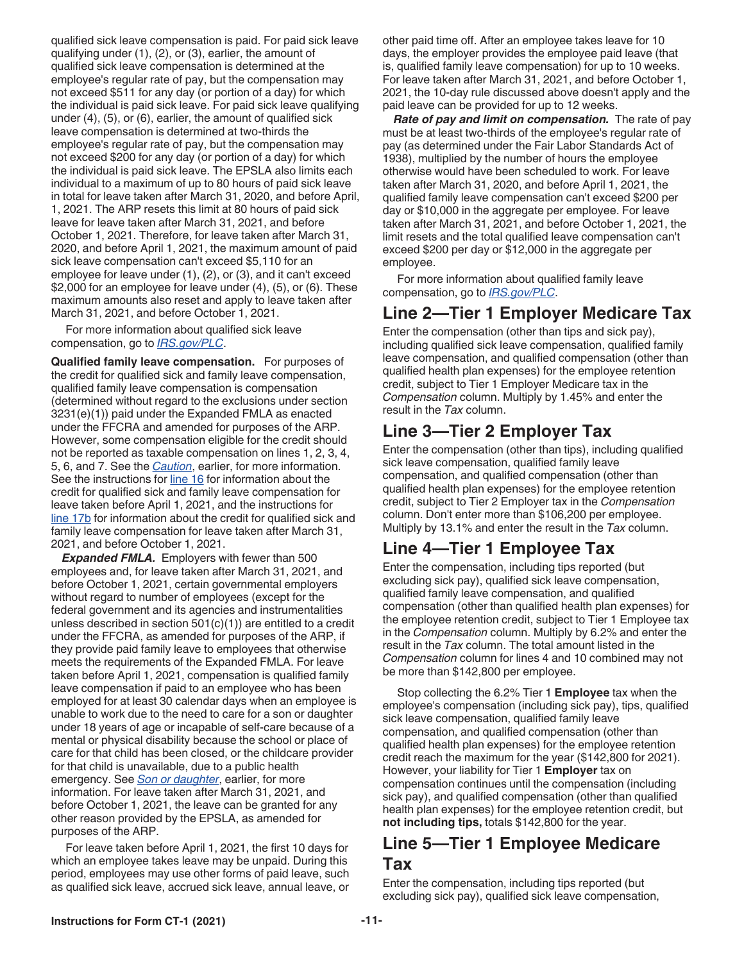<span id="page-10-0"></span>qualified sick leave compensation is paid. For paid sick leave qualifying under (1), (2), or (3), earlier, the amount of qualified sick leave compensation is determined at the employee's regular rate of pay, but the compensation may not exceed \$511 for any day (or portion of a day) for which the individual is paid sick leave. For paid sick leave qualifying under (4), (5), or (6), earlier, the amount of qualified sick leave compensation is determined at two-thirds the employee's regular rate of pay, but the compensation may not exceed \$200 for any day (or portion of a day) for which the individual is paid sick leave. The EPSLA also limits each individual to a maximum of up to 80 hours of paid sick leave in total for leave taken after March 31, 2020, and before April, 1, 2021. The ARP resets this limit at 80 hours of paid sick leave for leave taken after March 31, 2021, and before October 1, 2021. Therefore, for leave taken after March 31, 2020, and before April 1, 2021, the maximum amount of paid sick leave compensation can't exceed \$5,110 for an employee for leave under (1), (2), or (3), and it can't exceed \$2,000 for an employee for leave under (4), (5), or (6). These maximum amounts also reset and apply to leave taken after March 31, 2021, and before October 1, 2021.

For more information about qualified sick leave compensation, go to *[IRS.gov/PLC](https://www.irs.gov/plc)*.

**Qualified family leave compensation.** For purposes of the credit for qualified sick and family leave compensation, qualified family leave compensation is compensation (determined without regard to the exclusions under section 3231(e)(1)) paid under the Expanded FMLA as enacted under the FFCRA and amended for purposes of the ARP. However, some compensation eligible for the credit should not be reported as taxable compensation on lines 1, 2, 3, 4, 5, 6, and 7. See the *[Caution](#page-9-0)*, earlier, for more information. See the instructions for [line 16](#page-12-0) for information about the credit for qualified sick and family leave compensation for leave taken before April 1, 2021, and the instructions for [line 17b](#page-14-0) for information about the credit for qualified sick and family leave compensation for leave taken after March 31, 2021, and before October 1, 2021.

*Expanded FMLA.* Employers with fewer than 500 employees and, for leave taken after March 31, 2021, and before October 1, 2021, certain governmental employers without regard to number of employees (except for the federal government and its agencies and instrumentalities unless described in section 501(c)(1)) are entitled to a credit under the FFCRA, as amended for purposes of the ARP, if they provide paid family leave to employees that otherwise meets the requirements of the Expanded FMLA. For leave taken before April 1, 2021, compensation is qualified family leave compensation if paid to an employee who has been employed for at least 30 calendar days when an employee is unable to work due to the need to care for a son or daughter under 18 years of age or incapable of self-care because of a mental or physical disability because the school or place of care for that child has been closed, or the childcare provider for that child is unavailable, due to a public health emergency. See *[Son or daughter](#page-9-0)*, earlier, for more information. For leave taken after March 31, 2021, and before October 1, 2021, the leave can be granted for any other reason provided by the EPSLA, as amended for purposes of the ARP.

For leave taken before April 1, 2021, the first 10 days for which an employee takes leave may be unpaid. During this period, employees may use other forms of paid leave, such as qualified sick leave, accrued sick leave, annual leave, or other paid time off. After an employee takes leave for 10 days, the employer provides the employee paid leave (that is, qualified family leave compensation) for up to 10 weeks. For leave taken after March 31, 2021, and before October 1, 2021, the 10-day rule discussed above doesn't apply and the paid leave can be provided for up to 12 weeks.

*Rate of pay and limit on compensation.* The rate of pay must be at least two-thirds of the employee's regular rate of pay (as determined under the Fair Labor Standards Act of 1938), multiplied by the number of hours the employee otherwise would have been scheduled to work. For leave taken after March 31, 2020, and before April 1, 2021, the qualified family leave compensation can't exceed \$200 per day or \$10,000 in the aggregate per employee. For leave taken after March 31, 2021, and before October 1, 2021, the limit resets and the total qualified leave compensation can't exceed \$200 per day or \$12,000 in the aggregate per employee.

For more information about qualified family leave compensation, go to *[IRS.gov/PLC](https://www.irs.gov/plc)*.

### **Line 2—Tier 1 Employer Medicare Tax**

Enter the compensation (other than tips and sick pay), including qualified sick leave compensation, qualified family leave compensation, and qualified compensation (other than qualified health plan expenses) for the employee retention credit, subject to Tier 1 Employer Medicare tax in the *Compensation* column. Multiply by 1.45% and enter the result in the *Tax* column.

#### **Line 3—Tier 2 Employer Tax**

Enter the compensation (other than tips), including qualified sick leave compensation, qualified family leave compensation, and qualified compensation (other than qualified health plan expenses) for the employee retention credit, subject to Tier 2 Employer tax in the *Compensation*  column. Don't enter more than \$106,200 per employee. Multiply by 13.1% and enter the result in the *Tax* column.

### **Line 4—Tier 1 Employee Tax**

Enter the compensation, including tips reported (but excluding sick pay), qualified sick leave compensation, qualified family leave compensation, and qualified compensation (other than qualified health plan expenses) for the employee retention credit, subject to Tier 1 Employee tax in the *Compensation* column. Multiply by 6.2% and enter the result in the *Tax* column. The total amount listed in the *Compensation* column for lines 4 and 10 combined may not be more than \$142,800 per employee.

Stop collecting the 6.2% Tier 1 **Employee** tax when the employee's compensation (including sick pay), tips, qualified sick leave compensation, qualified family leave compensation, and qualified compensation (other than qualified health plan expenses) for the employee retention credit reach the maximum for the year (\$142,800 for 2021). However, your liability for Tier 1 **Employer** tax on compensation continues until the compensation (including sick pay), and qualified compensation (other than qualified health plan expenses) for the employee retention credit, but **not including tips,** totals \$142,800 for the year.

#### **Line 5—Tier 1 Employee Medicare Tax**

Enter the compensation, including tips reported (but excluding sick pay), qualified sick leave compensation,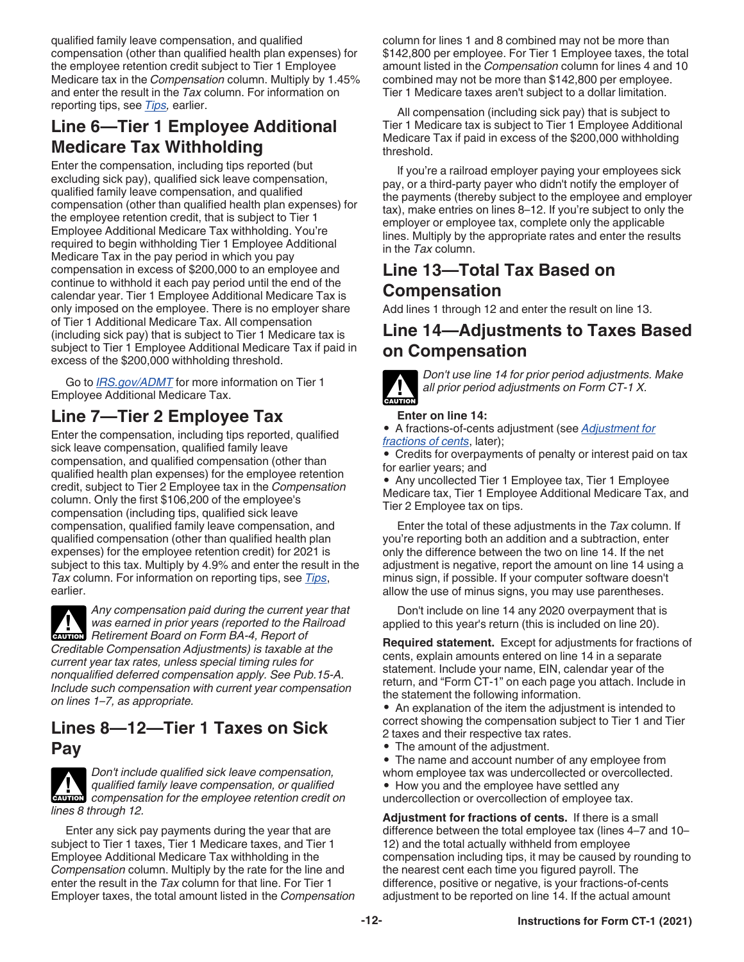qualified family leave compensation, and qualified compensation (other than qualified health plan expenses) for the employee retention credit subject to Tier 1 Employee Medicare tax in the *Compensation* column. Multiply by 1.45% and enter the result in the *Tax* column. For information on reporting tips, see *[Tips](#page-6-0),* earlier.

### **Line 6—Tier 1 Employee Additional Medicare Tax Withholding**

Enter the compensation, including tips reported (but excluding sick pay), qualified sick leave compensation, qualified family leave compensation, and qualified compensation (other than qualified health plan expenses) for the employee retention credit, that is subject to Tier 1 Employee Additional Medicare Tax withholding. You're required to begin withholding Tier 1 Employee Additional Medicare Tax in the pay period in which you pay compensation in excess of \$200,000 to an employee and continue to withhold it each pay period until the end of the calendar year. Tier 1 Employee Additional Medicare Tax is only imposed on the employee. There is no employer share of Tier 1 Additional Medicare Tax. All compensation (including sick pay) that is subject to Tier 1 Medicare tax is subject to Tier 1 Employee Additional Medicare Tax if paid in excess of the \$200,000 withholding threshold.

Go to *[IRS.gov/ADMT](https://www.irs.gov/admt)* for more information on Tier 1 Employee Additional Medicare Tax.

### **Line 7—Tier 2 Employee Tax**

Enter the compensation, including tips reported, qualified sick leave compensation, qualified family leave compensation, and qualified compensation (other than qualified health plan expenses) for the employee retention credit, subject to Tier 2 Employee tax in the *Compensation*  column. Only the first \$106,200 of the employee's compensation (including tips, qualified sick leave compensation, qualified family leave compensation, and qualified compensation (other than qualified health plan expenses) for the employee retention credit) for 2021 is subject to this tax. Multiply by 4.9% and enter the result in the *Tax* column. For information on reporting tips, see *[Tips](#page-6-0)*, earlier.

*Any compensation paid during the current year that was earned in prior years (reported to the Railroad*  Was earned in prior years (reported to the Retirement Board on Form BA-4, Report of *Creditable Compensation Adjustments) is taxable at the current year tax rates, unless special timing rules for nonqualified deferred compensation apply. See Pub.15-A.* 

*Include such compensation with current year compensation on lines 1–7, as appropriate.*

#### **Lines 8—12—Tier 1 Taxes on Sick Pay**

*Don't include qualified sick leave compensation, qualified family leave compensation, or qualified*  **z** *qualified family leave compensation, or qualified compensation for the employee retention credit on lines 8 through 12.*

Enter any sick pay payments during the year that are subject to Tier 1 taxes, Tier 1 Medicare taxes, and Tier 1 Employee Additional Medicare Tax withholding in the *Compensation* column. Multiply by the rate for the line and enter the result in the *Tax* column for that line. For Tier 1 Employer taxes, the total amount listed in the *Compensation*  column for lines 1 and 8 combined may not be more than \$142,800 per employee. For Tier 1 Employee taxes, the total amount listed in the *Compensation* column for lines 4 and 10 combined may not be more than \$142,800 per employee. Tier 1 Medicare taxes aren't subject to a dollar limitation.

All compensation (including sick pay) that is subject to Tier 1 Medicare tax is subject to Tier 1 Employee Additional Medicare Tax if paid in excess of the \$200,000 withholding threshold.

If you're a railroad employer paying your employees sick pay, or a third-party payer who didn't notify the employer of the payments (thereby subject to the employee and employer tax), make entries on lines 8–12. If you're subject to only the employer or employee tax, complete only the applicable lines. Multiply by the appropriate rates and enter the results in the *Tax* column.

#### **Line 13—Total Tax Based on Compensation**

Add lines 1 through 12 and enter the result on line 13.

### **Line 14—Adjustments to Taxes Based on Compensation**



*Don't use line 14 for prior period adjustments. Make all prior period adjustments on Form CT-1 X.*

#### **Enter on line 14:**

• A fractions-of-cents adjustment (see *Adjustment for fractions of cents*, later);

• Credits for overpayments of penalty or interest paid on tax for earlier years; and

• Any uncollected Tier 1 Employee tax, Tier 1 Employee Medicare tax, Tier 1 Employee Additional Medicare Tax, and Tier 2 Employee tax on tips.

Enter the total of these adjustments in the *Tax* column. If you're reporting both an addition and a subtraction, enter only the difference between the two on line 14. If the net adjustment is negative, report the amount on line 14 using a minus sign, if possible. If your computer software doesn't allow the use of minus signs, you may use parentheses.

Don't include on line 14 any 2020 overpayment that is applied to this year's return (this is included on line 20).

**Required statement.** Except for adjustments for fractions of cents, explain amounts entered on line 14 in a separate statement. Include your name, EIN, calendar year of the return, and "Form CT-1" on each page you attach. Include in the statement the following information.

• An explanation of the item the adjustment is intended to correct showing the compensation subject to Tier 1 and Tier 2 taxes and their respective tax rates.

• The amount of the adjustment.

• The name and account number of any employee from whom employee tax was undercollected or overcollected.

• How you and the employee have settled any

undercollection or overcollection of employee tax.

**Adjustment for fractions of cents.** If there is a small difference between the total employee tax (lines 4–7 and 10– 12) and the total actually withheld from employee compensation including tips, it may be caused by rounding to the nearest cent each time you figured payroll. The difference, positive or negative, is your fractions-of-cents adjustment to be reported on line 14. If the actual amount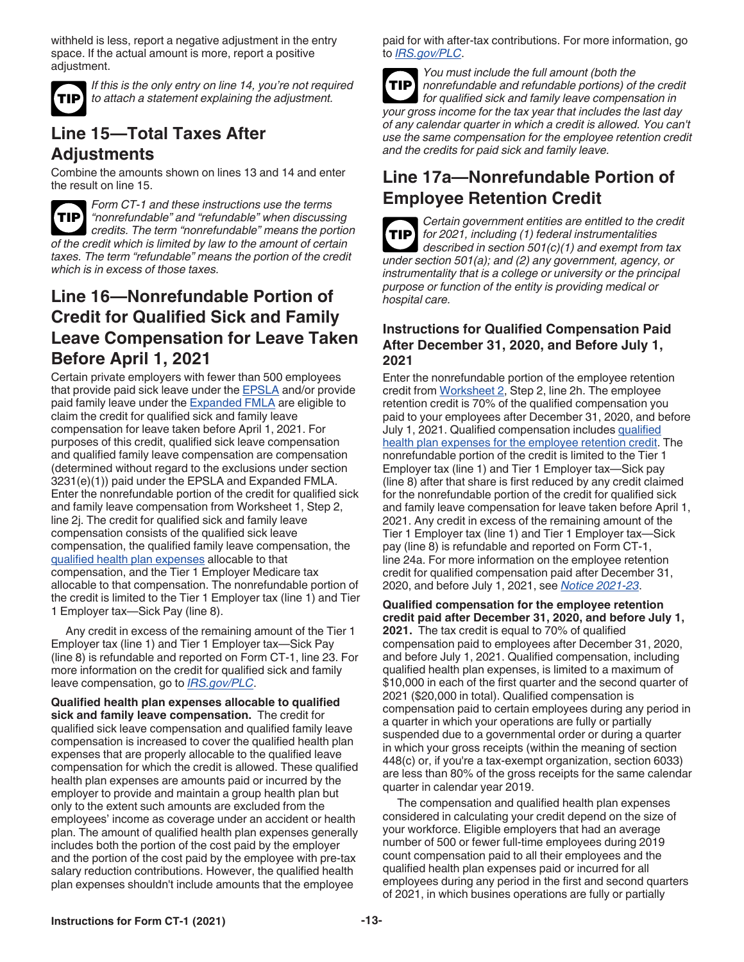<span id="page-12-0"></span>withheld is less, report a negative adjustment in the entry space. If the actual amount is more, report a positive adjustment.



*If this is the only entry on line 14, you're not required to attach a statement explaining the adjustment.*

### **Line 15—Total Taxes After Adjustments**

Combine the amounts shown on lines 13 and 14 and enter the result on line 15.



*Form CT-1 and these instructions use the terms "nonrefundable" and "refundable" when discussing credits. The term "nonrefundable" means the portion of the credit which is limited by law to the amount of certain taxes. The term "refundable" means the portion of the credit which is in excess of those taxes.*

#### **Line 16—Nonrefundable Portion of Credit for Qualified Sick and Family Leave Compensation for Leave Taken Before April 1, 2021**

Certain private employers with fewer than 500 employees that provide paid sick leave under the [EPSLA](#page-9-0) and/or provide paid family leave under the [Expanded FMLA](#page-10-0) are eligible to claim the credit for qualified sick and family leave compensation for leave taken before April 1, 2021. For purposes of this credit, qualified sick leave compensation and qualified family leave compensation are compensation (determined without regard to the exclusions under section 3231(e)(1)) paid under the EPSLA and Expanded FMLA. Enter the nonrefundable portion of the credit for qualified sick and family leave compensation from Worksheet 1, Step 2, line 2j. The credit for qualified sick and family leave compensation consists of the qualified sick leave compensation, the qualified family leave compensation, the qualified health plan expenses allocable to that compensation, and the Tier 1 Employer Medicare tax allocable to that compensation. The nonrefundable portion of the credit is limited to the Tier 1 Employer tax (line 1) and Tier 1 Employer tax—Sick Pay (line 8).

Any credit in excess of the remaining amount of the Tier 1 Employer tax (line 1) and Tier 1 Employer tax—Sick Pay (line 8) is refundable and reported on Form CT-1, line 23. For more information on the credit for qualified sick and family leave compensation, go to *[IRS.gov/PLC](https://www.irs.gov/plc)*.

**Qualified health plan expenses allocable to qualified sick and family leave compensation.** The credit for qualified sick leave compensation and qualified family leave compensation is increased to cover the qualified health plan expenses that are properly allocable to the qualified leave compensation for which the credit is allowed. These qualified health plan expenses are amounts paid or incurred by the employer to provide and maintain a group health plan but only to the extent such amounts are excluded from the employees' income as coverage under an accident or health plan. The amount of qualified health plan expenses generally includes both the portion of the cost paid by the employer and the portion of the cost paid by the employee with pre-tax salary reduction contributions. However, the qualified health plan expenses shouldn't include amounts that the employee

paid for with after-tax contributions. For more information, go to *[IRS.gov/PLC](https://www.irs.gov/plc)*.

*You must include the full amount (both the nonrefundable and refundable portions) of the credit for qualified sick and family leave compensation in your gross income for the tax year that includes the last day of any calendar quarter in which a credit is allowed. You can't use the same compensation for the employee retention credit and the credits for paid sick and family leave.* **TIP**

### **Line 17a—Nonrefundable Portion of Employee Retention Credit**

*Certain government entities are entitled to the credit for 2021, including (1) federal instrumentalities*  **TIP** *described in section 501(c)(1) and exempt from tax under section 501(a); and (2) any government, agency, or instrumentality that is a college or university or the principal purpose or function of the entity is providing medical or hospital care.*

#### **Instructions for Qualified Compensation Paid After December 31, 2020, and Before July 1, 2021**

Enter the nonrefundable portion of the employee retention credit from [Worksheet 2,](#page-23-0) Step 2, line 2h. The employee retention credit is 70% of the qualified compensation you paid to your employees after December 31, 2020, and before July 1, 2021. Qualified compensation includes [qualified](#page-13-0) [health plan expenses for the employee retention credit.](#page-13-0) The nonrefundable portion of the credit is limited to the Tier 1 Employer tax (line 1) and Tier 1 Employer tax—Sick pay (line 8) after that share is first reduced by any credit claimed for the nonrefundable portion of the credit for qualified sick and family leave compensation for leave taken before April 1, 2021. Any credit in excess of the remaining amount of the Tier 1 Employer tax (line 1) and Tier 1 Employer tax—Sick pay (line 8) is refundable and reported on Form CT-1, line 24a. For more information on the employee retention credit for qualified compensation paid after December 31, 2020, and before July 1, 2021, see *[Notice 2021-23](https://www.irs.gov/irb/2021-16_IRB#NOT-2021-23)*.

**Qualified compensation for the employee retention credit paid after December 31, 2020, and before July 1, 2021.** The tax credit is equal to 70% of qualified compensation paid to employees after December 31, 2020, and before July 1, 2021. Qualified compensation, including qualified health plan expenses, is limited to a maximum of \$10,000 in each of the first quarter and the second quarter of 2021 (\$20,000 in total). Qualified compensation is compensation paid to certain employees during any period in a quarter in which your operations are fully or partially suspended due to a governmental order or during a quarter in which your gross receipts (within the meaning of section 448(c) or, if you're a tax-exempt organization, section 6033) are less than 80% of the gross receipts for the same calendar quarter in calendar year 2019.

The compensation and qualified health plan expenses considered in calculating your credit depend on the size of your workforce. Eligible employers that had an average number of 500 or fewer full-time employees during 2019 count compensation paid to all their employees and the qualified health plan expenses paid or incurred for all employees during any period in the first and second quarters of 2021, in which busines operations are fully or partially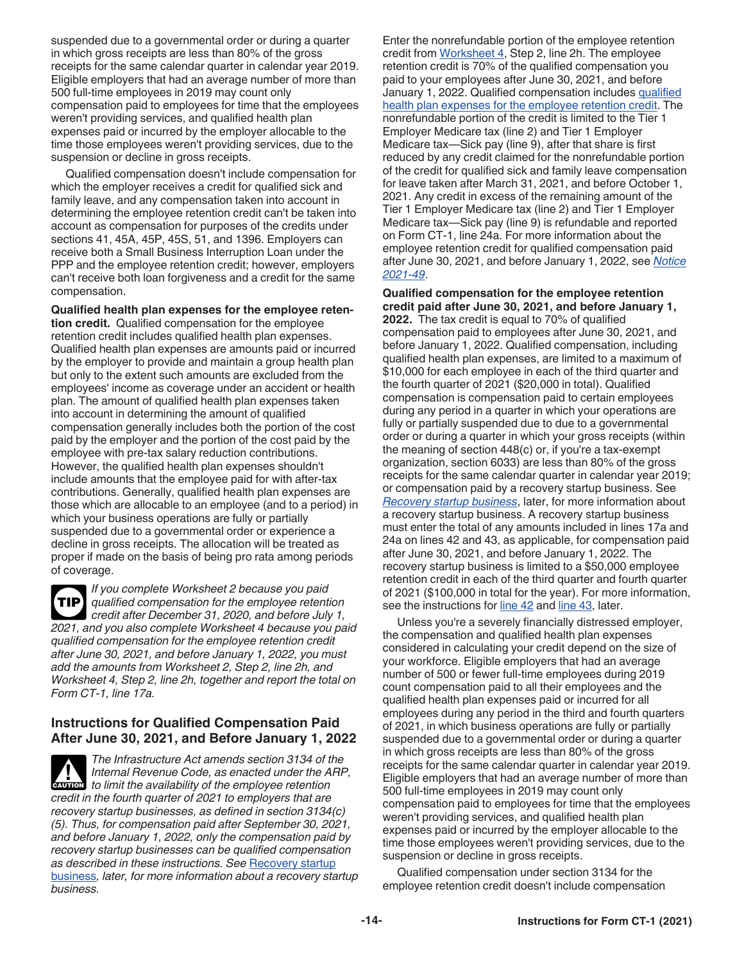<span id="page-13-0"></span>suspended due to a governmental order or during a quarter in which gross receipts are less than 80% of the gross receipts for the same calendar quarter in calendar year 2019. Eligible employers that had an average number of more than 500 full-time employees in 2019 may count only compensation paid to employees for time that the employees weren't providing services, and qualified health plan expenses paid or incurred by the employer allocable to the time those employees weren't providing services, due to the suspension or decline in gross receipts.

Qualified compensation doesn't include compensation for which the employer receives a credit for qualified sick and family leave, and any compensation taken into account in determining the employee retention credit can't be taken into account as compensation for purposes of the credits under sections 41, 45A, 45P, 45S, 51, and 1396. Employers can receive both a Small Business Interruption Loan under the PPP and the employee retention credit; however, employers can't receive both loan forgiveness and a credit for the same compensation.

**Qualified health plan expenses for the employee retention credit.** Qualified compensation for the employee retention credit includes qualified health plan expenses. Qualified health plan expenses are amounts paid or incurred by the employer to provide and maintain a group health plan but only to the extent such amounts are excluded from the employees' income as coverage under an accident or health plan. The amount of qualified health plan expenses taken into account in determining the amount of qualified compensation generally includes both the portion of the cost paid by the employer and the portion of the cost paid by the employee with pre-tax salary reduction contributions. However, the qualified health plan expenses shouldn't include amounts that the employee paid for with after-tax contributions. Generally, qualified health plan expenses are those which are allocable to an employee (and to a period) in which your business operations are fully or partially suspended due to a governmental order or experience a decline in gross receipts. The allocation will be treated as proper if made on the basis of being pro rata among periods of coverage.

*If you complete Worksheet 2 because you paid qualified compensation for the employee retention credit after December 31, 2020, and before July 1, 2021, and you also complete Worksheet 4 because you paid qualified compensation for the employee retention credit after June 30, 2021, and before January 1, 2022, you must add the amounts from Worksheet 2, Step 2, line 2h, and Worksheet 4, Step 2, line 2h, together and report the total on Form CT-1, line 17a.* **TIP**

#### **Instructions for Qualified Compensation Paid After June 30, 2021, and Before January 1, 2022**

*The Infrastructure Act amends section 3134 of the Internal Revenue Code, as enacted under the ARP, caution to limit the availability of the employee retention credit in the fourth quarter of 2021 to employers that are recovery startup businesses, as defined in section 3134(c) (5). Thus, for compensation paid after September 30, 2021, and before January 1, 2022, only the compensation paid by recovery startup businesses can be qualified compensation as described in these instructions. See* [Recovery startup](#page-14-0) [business](#page-14-0)*, later, for more information about a recovery startup business.*

Enter the nonrefundable portion of the employee retention credit from [Worksheet 4,](#page-25-0) Step 2, line 2h. The employee retention credit is 70% of the qualified compensation you paid to your employees after June 30, 2021, and before January 1, 2022. Qualified compensation includes qualified health plan expenses for the employee retention credit. The nonrefundable portion of the credit is limited to the Tier 1 Employer Medicare tax (line 2) and Tier 1 Employer Medicare tax—Sick pay (line 9), after that share is first reduced by any credit claimed for the nonrefundable portion of the credit for qualified sick and family leave compensation for leave taken after March 31, 2021, and before October 1, 2021. Any credit in excess of the remaining amount of the Tier 1 Employer Medicare tax (line 2) and Tier 1 Employer Medicare tax—Sick pay (line 9) is refundable and reported on Form CT-1, line 24a. For more information about the employee retention credit for qualified compensation paid after June 30, 2021, and before January 1, 2022, see *[Notice](https://www.irs.gov/irb/2021-34_IRB#NOT-2021-49) [2021-49](https://www.irs.gov/irb/2021-34_IRB#NOT-2021-49)*.

**Qualified compensation for the employee retention credit paid after June 30, 2021, and before January 1, 2022.** The tax credit is equal to 70% of qualified compensation paid to employees after June 30, 2021, and before January 1, 2022. Qualified compensation, including qualified health plan expenses, are limited to a maximum of \$10,000 for each employee in each of the third quarter and the fourth quarter of 2021 (\$20,000 in total). Qualified compensation is compensation paid to certain employees during any period in a quarter in which your operations are fully or partially suspended due to due to a governmental order or during a quarter in which your gross receipts (within the meaning of section 448(c) or, if you're a tax-exempt organization, section 6033) are less than 80% of the gross receipts for the same calendar quarter in calendar year 2019; or compensation paid by a recovery startup business. See *[Recovery startup business](#page-14-0)*, later, for more information about a recovery startup business. A recovery startup business must enter the total of any amounts included in lines 17a and 24a on lines 42 and 43, as applicable, for compensation paid after June 30, 2021, and before January 1, 2022. The recovery startup business is limited to a \$50,000 employee retention credit in each of the third quarter and fourth quarter of 2021 (\$100,000 in total for the year). For more information, see the instructions for [line 42](#page-18-0) and [line 43](#page-19-0), later.

Unless you're a severely financially distressed employer, the compensation and qualified health plan expenses considered in calculating your credit depend on the size of your workforce. Eligible employers that had an average number of 500 or fewer full-time employees during 2019 count compensation paid to all their employees and the qualified health plan expenses paid or incurred for all employees during any period in the third and fourth quarters of 2021, in which business operations are fully or partially suspended due to a governmental order or during a quarter in which gross receipts are less than 80% of the gross receipts for the same calendar quarter in calendar year 2019. Eligible employers that had an average number of more than 500 full-time employees in 2019 may count only compensation paid to employees for time that the employees weren't providing services, and qualified health plan expenses paid or incurred by the employer allocable to the time those employees weren't providing services, due to the suspension or decline in gross receipts.

Qualified compensation under section 3134 for the employee retention credit doesn't include compensation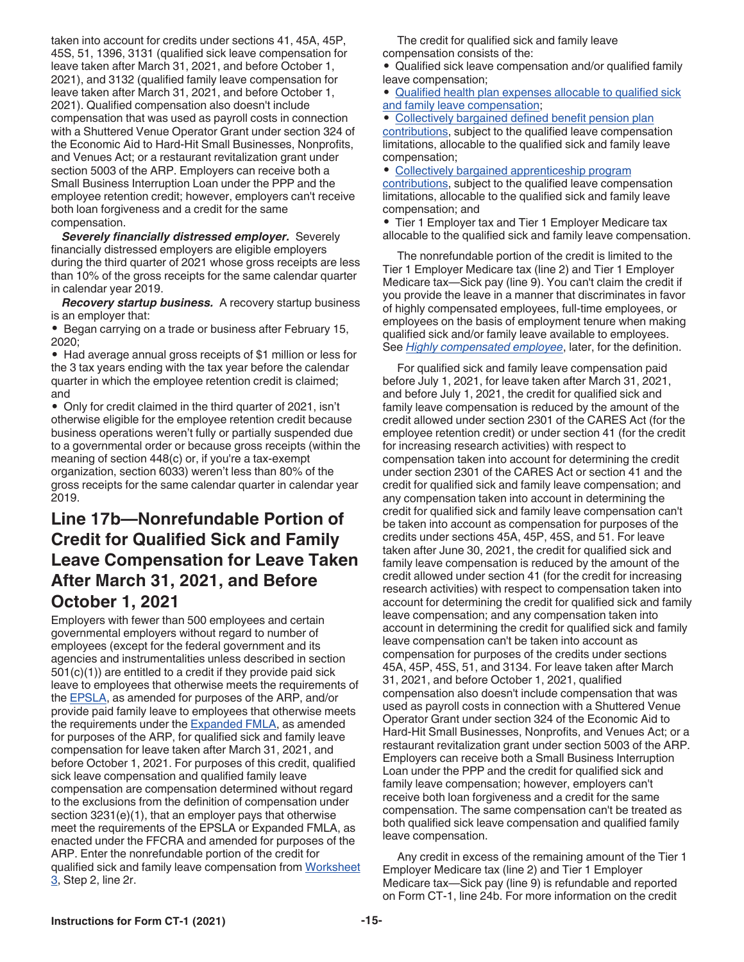<span id="page-14-0"></span>taken into account for credits under sections 41, 45A, 45P, 45S, 51, 1396, 3131 (qualified sick leave compensation for leave taken after March 31, 2021, and before October 1, 2021), and 3132 (qualified family leave compensation for leave taken after March 31, 2021, and before October 1, 2021). Qualified compensation also doesn't include compensation that was used as payroll costs in connection with a Shuttered Venue Operator Grant under section 324 of the Economic Aid to Hard-Hit Small Businesses, Nonprofits, and Venues Act; or a restaurant revitalization grant under section 5003 of the ARP. Employers can receive both a Small Business Interruption Loan under the PPP and the employee retention credit; however, employers can't receive both loan forgiveness and a credit for the same compensation.

*Severely financially distressed employer.* Severely financially distressed employers are eligible employers during the third quarter of 2021 whose gross receipts are less than 10% of the gross receipts for the same calendar quarter in calendar year 2019.

*Recovery startup business.* A recovery startup business is an employer that:

• Began carrying on a trade or business after February 15, 2020;

• Had average annual gross receipts of \$1 million or less for the 3 tax years ending with the tax year before the calendar quarter in which the employee retention credit is claimed; and

• Only for credit claimed in the third quarter of 2021, isn't otherwise eligible for the employee retention credit because business operations weren't fully or partially suspended due to a governmental order or because gross receipts (within the meaning of section 448(c) or, if you're a tax-exempt organization, section 6033) weren't less than 80% of the gross receipts for the same calendar quarter in calendar year 2019.

#### **Line 17b—Nonrefundable Portion of Credit for Qualified Sick and Family Leave Compensation for Leave Taken After March 31, 2021, and Before October 1, 2021**

Employers with fewer than 500 employees and certain governmental employers without regard to number of employees (except for the federal government and its agencies and instrumentalities unless described in section 501(c)(1)) are entitled to a credit if they provide paid sick leave to employees that otherwise meets the requirements of the [EPSLA,](#page-9-0) as amended for purposes of the ARP, and/or provide paid family leave to employees that otherwise meets the requirements under the **[Expanded FMLA](#page-10-0)**, as amended for purposes of the ARP, for qualified sick and family leave compensation for leave taken after March 31, 2021, and before October 1, 2021. For purposes of this credit, qualified sick leave compensation and qualified family leave compensation are compensation determined without regard to the exclusions from the definition of compensation under section 3231(e)(1), that an employer pays that otherwise meet the requirements of the EPSLA or Expanded FMLA, as enacted under the FFCRA and amended for purposes of the ARP. Enter the nonrefundable portion of the credit for qualified sick and family leave compensation from [Worksheet](#page-24-0)  [3](#page-24-0), Step 2, line 2r.

The credit for qualified sick and family leave compensation consists of the:

• Qualified sick leave compensation and/or qualified family leave compensation;

• [Qualified health plan expenses allocable to qualified sick](#page-12-0)  [and family leave compensation](#page-12-0);

• [Collectively bargained defined benefit pension plan](#page-15-0) [contributions,](#page-15-0) subject to the qualified leave compensation limitations, allocable to the qualified sick and family leave compensation;

• [Collectively bargained apprenticeship program](#page-15-0)  [contributions,](#page-15-0) subject to the qualified leave compensation

limitations, allocable to the qualified sick and family leave compensation; and

• Tier 1 Employer tax and Tier 1 Employer Medicare tax allocable to the qualified sick and family leave compensation.

The nonrefundable portion of the credit is limited to the Tier 1 Employer Medicare tax (line 2) and Tier 1 Employer Medicare tax—Sick pay (line 9). You can't claim the credit if you provide the leave in a manner that discriminates in favor of highly compensated employees, full-time employees, or employees on the basis of employment tenure when making qualified sick and/or family leave available to employees. See *[Highly compensated employee](#page-15-0)*, later, for the definition.

For qualified sick and family leave compensation paid before July 1, 2021, for leave taken after March 31, 2021, and before July 1, 2021, the credit for qualified sick and family leave compensation is reduced by the amount of the credit allowed under section 2301 of the CARES Act (for the employee retention credit) or under section 41 (for the credit for increasing research activities) with respect to compensation taken into account for determining the credit under section 2301 of the CARES Act or section 41 and the credit for qualified sick and family leave compensation; and any compensation taken into account in determining the credit for qualified sick and family leave compensation can't be taken into account as compensation for purposes of the credits under sections 45A, 45P, 45S, and 51. For leave taken after June 30, 2021, the credit for qualified sick and family leave compensation is reduced by the amount of the credit allowed under section 41 (for the credit for increasing research activities) with respect to compensation taken into account for determining the credit for qualified sick and family leave compensation; and any compensation taken into account in determining the credit for qualified sick and family leave compensation can't be taken into account as compensation for purposes of the credits under sections 45A, 45P, 45S, 51, and 3134. For leave taken after March 31, 2021, and before October 1, 2021, qualified compensation also doesn't include compensation that was used as payroll costs in connection with a Shuttered Venue Operator Grant under section 324 of the Economic Aid to Hard-Hit Small Businesses, Nonprofits, and Venues Act; or a restaurant revitalization grant under section 5003 of the ARP. Employers can receive both a Small Business Interruption Loan under the PPP and the credit for qualified sick and family leave compensation; however, employers can't receive both loan forgiveness and a credit for the same compensation. The same compensation can't be treated as both qualified sick leave compensation and qualified family leave compensation.

Any credit in excess of the remaining amount of the Tier 1 Employer Medicare tax (line 2) and Tier 1 Employer Medicare tax—Sick pay (line 9) is refundable and reported on Form CT-1, line 24b. For more information on the credit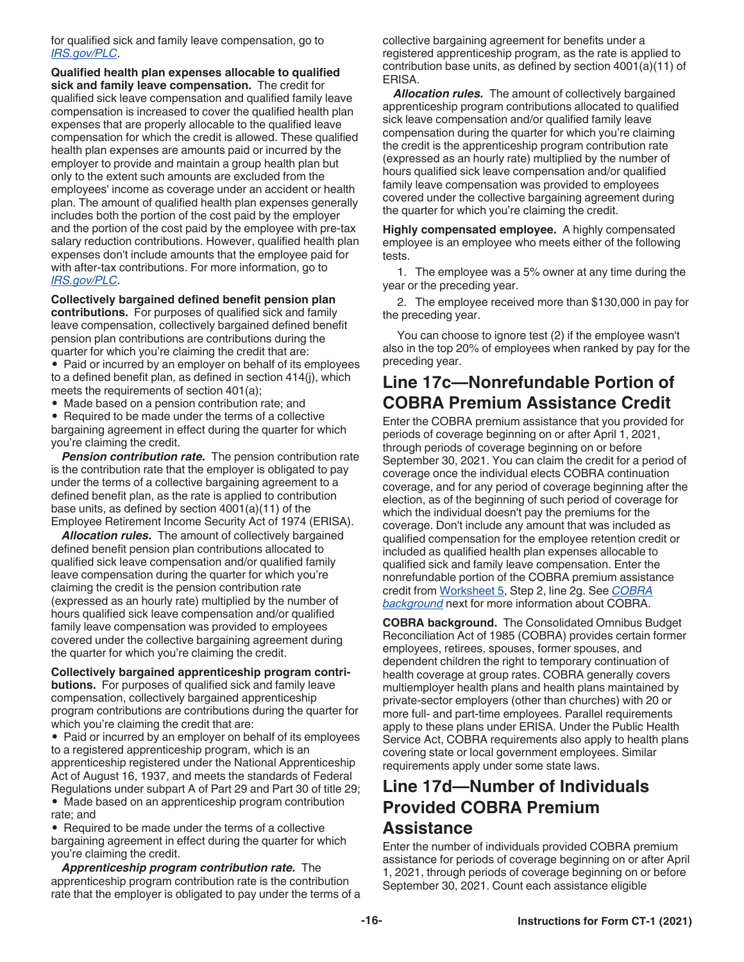<span id="page-15-0"></span>for qualified sick and family leave compensation, go to *[IRS.gov/PLC](https://www.irs.gov/plc)*.

**Qualified health plan expenses allocable to qualified sick and family leave compensation.** The credit for qualified sick leave compensation and qualified family leave compensation is increased to cover the qualified health plan expenses that are properly allocable to the qualified leave compensation for which the credit is allowed. These qualified health plan expenses are amounts paid or incurred by the employer to provide and maintain a group health plan but only to the extent such amounts are excluded from the employees' income as coverage under an accident or health plan. The amount of qualified health plan expenses generally includes both the portion of the cost paid by the employer and the portion of the cost paid by the employee with pre-tax salary reduction contributions. However, qualified health plan expenses don't include amounts that the employee paid for with after-tax contributions. For more information, go to *[IRS.gov/PLC](https://www.irs.gov/plc)*.

**Collectively bargained defined benefit pension plan contributions.** For purposes of qualified sick and family leave compensation, collectively bargained defined benefit pension plan contributions are contributions during the quarter for which you're claiming the credit that are:

• Paid or incurred by an employer on behalf of its employees to a defined benefit plan, as defined in section 414(j), which meets the requirements of section 401(a);

• Made based on a pension contribution rate; and

• Required to be made under the terms of a collective bargaining agreement in effect during the quarter for which you're claiming the credit.

**Pension contribution rate.** The pension contribution rate is the contribution rate that the employer is obligated to pay under the terms of a collective bargaining agreement to a defined benefit plan, as the rate is applied to contribution base units, as defined by section 4001(a)(11) of the Employee Retirement Income Security Act of 1974 (ERISA).

*Allocation rules.* The amount of collectively bargained defined benefit pension plan contributions allocated to qualified sick leave compensation and/or qualified family leave compensation during the quarter for which you're claiming the credit is the pension contribution rate (expressed as an hourly rate) multiplied by the number of hours qualified sick leave compensation and/or qualified family leave compensation was provided to employees covered under the collective bargaining agreement during the quarter for which you're claiming the credit.

**Collectively bargained apprenticeship program contributions.** For purposes of qualified sick and family leave compensation, collectively bargained apprenticeship program contributions are contributions during the quarter for which you're claiming the credit that are:

• Paid or incurred by an employer on behalf of its employees to a registered apprenticeship program, which is an apprenticeship registered under the National Apprenticeship Act of August 16, 1937, and meets the standards of Federal Regulations under subpart A of Part 29 and Part 30 of title 29; • Made based on an apprenticeship program contribution rate; and

• Required to be made under the terms of a collective bargaining agreement in effect during the quarter for which you're claiming the credit.

*Apprenticeship program contribution rate.* The apprenticeship program contribution rate is the contribution rate that the employer is obligated to pay under the terms of a collective bargaining agreement for benefits under a registered apprenticeship program, as the rate is applied to contribution base units, as defined by section 4001(a)(11) of ERISA.

*Allocation rules.* The amount of collectively bargained apprenticeship program contributions allocated to qualified sick leave compensation and/or qualified family leave compensation during the quarter for which you're claiming the credit is the apprenticeship program contribution rate (expressed as an hourly rate) multiplied by the number of hours qualified sick leave compensation and/or qualified family leave compensation was provided to employees covered under the collective bargaining agreement during the quarter for which you're claiming the credit.

**Highly compensated employee.** A highly compensated employee is an employee who meets either of the following tests.

1. The employee was a 5% owner at any time during the year or the preceding year.

2. The employee received more than \$130,000 in pay for the preceding year.

You can choose to ignore test (2) if the employee wasn't also in the top 20% of employees when ranked by pay for the preceding year.

#### **Line 17c—Nonrefundable Portion of COBRA Premium Assistance Credit**

Enter the COBRA premium assistance that you provided for periods of coverage beginning on or after April 1, 2021, through periods of coverage beginning on or before September 30, 2021. You can claim the credit for a period of coverage once the individual elects COBRA continuation coverage, and for any period of coverage beginning after the election, as of the beginning of such period of coverage for which the individual doesn't pay the premiums for the coverage. Don't include any amount that was included as qualified compensation for the employee retention credit or included as qualified health plan expenses allocable to qualified sick and family leave compensation. Enter the nonrefundable portion of the COBRA premium assistance credit from [Worksheet 5,](#page-26-0) Step 2, line 2g. See *COBRA background* next for more information about COBRA.

**COBRA background.** The Consolidated Omnibus Budget Reconciliation Act of 1985 (COBRA) provides certain former employees, retirees, spouses, former spouses, and dependent children the right to temporary continuation of health coverage at group rates. COBRA generally covers multiemployer health plans and health plans maintained by private-sector employers (other than churches) with 20 or more full- and part-time employees. Parallel requirements apply to these plans under ERISA. Under the Public Health Service Act, COBRA requirements also apply to health plans covering state or local government employees. Similar requirements apply under some state laws.

#### **Line 17d—Number of Individuals Provided COBRA Premium Assistance**

Enter the number of individuals provided COBRA premium assistance for periods of coverage beginning on or after April 1, 2021, through periods of coverage beginning on or before September 30, 2021. Count each assistance eligible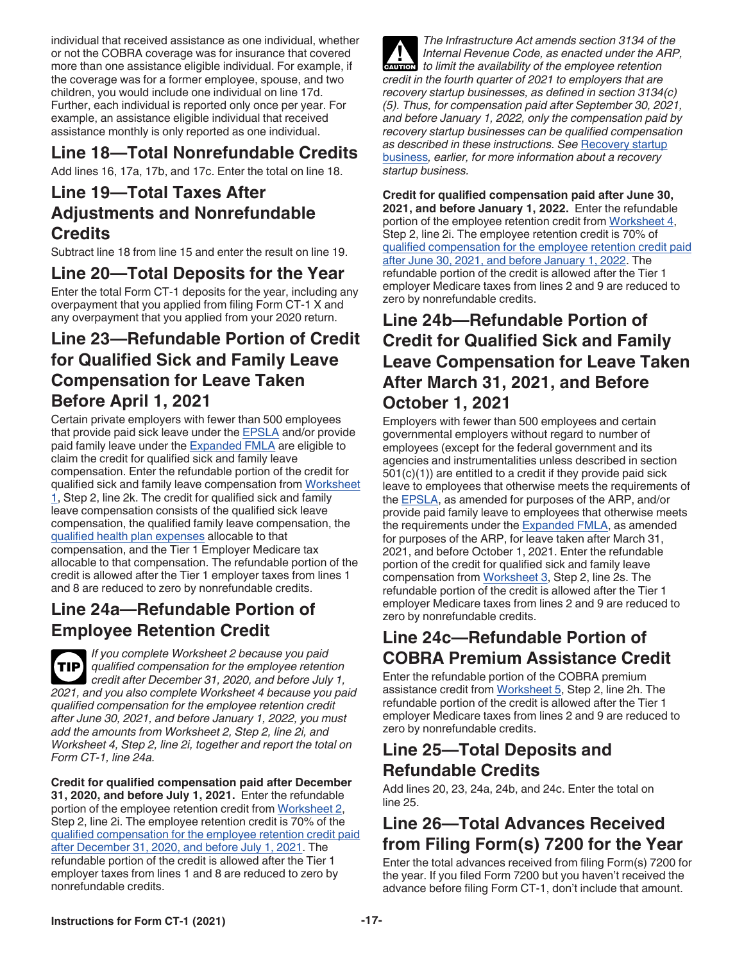<span id="page-16-0"></span>individual that received assistance as one individual, whether or not the COBRA coverage was for insurance that covered more than one assistance eligible individual. For example, if the coverage was for a former employee, spouse, and two children, you would include one individual on line 17d. Further, each individual is reported only once per year. For example, an assistance eligible individual that received assistance monthly is only reported as one individual.

### **Line 18—Total Nonrefundable Credits**

Add lines 16, 17a, 17b, and 17c. Enter the total on line 18.

#### **Line 19—Total Taxes After Adjustments and Nonrefundable Credits**

Subtract line 18 from line 15 and enter the result on line 19.

#### **Line 20—Total Deposits for the Year**

Enter the total Form CT-1 deposits for the year, including any overpayment that you applied from filing Form CT-1 X and any overpayment that you applied from your 2020 return.

#### **Line 23—Refundable Portion of Credit for Qualified Sick and Family Leave Compensation for Leave Taken Before April 1, 2021**

Certain private employers with fewer than 500 employees that provide paid sick leave under the [EPSLA](#page-9-0) and/or provide paid family leave under the **Expanded FMLA** are eligible to claim the credit for qualified sick and family leave compensation. Enter the refundable portion of the credit for qualified sick and family leave compensation from [Worksheet](#page-22-0)   $1$ , Step 2, line 2k. The credit for qualified sick and family leave compensation consists of the qualified sick leave compensation, the qualified family leave compensation, the [qualified health plan expenses](#page-12-0) allocable to that compensation, and the Tier 1 Employer Medicare tax allocable to that compensation. The refundable portion of the credit is allowed after the Tier 1 employer taxes from lines 1 and 8 are reduced to zero by nonrefundable credits.

#### **Line 24a—Refundable Portion of Employee Retention Credit**

*If you complete Worksheet 2 because you paid qualified compensation for the employee retention credit after December 31, 2020, and before July 1, 2021, and you also complete Worksheet 4 because you paid qualified compensation for the employee retention credit after June 30, 2021, and before January 1, 2022, you must add the amounts from Worksheet 2, Step 2, line 2i, and Worksheet 4, Step 2, line 2i, together and report the total on Form CT-1, line 24a.* **TIP**

**Credit for qualified compensation paid after December 31, 2020, and before July 1, 2021.** Enter the refundable portion of the employee retention credit from [Worksheet 2,](#page-23-0) Step 2, line 2i. The employee retention credit is 70% of the [qualified compensation for the employee retention credit paid](#page-12-0) [after December 31, 2020, and before July 1, 2021.](#page-12-0) The refundable portion of the credit is allowed after the Tier 1 employer taxes from lines 1 and 8 are reduced to zero by nonrefundable credits.

*The Infrastructure Act amends section 3134 of the Internal Revenue Code, as enacted under the ARP, caution to limit the availability of the employee retention credit in the fourth quarter of 2021 to employers that are recovery startup businesses, as defined in section 3134(c) (5). Thus, for compensation paid after September 30, 2021, and before January 1, 2022, only the compensation paid by recovery startup businesses can be qualified compensation as described in these instructions. See* [Recovery startup](#page-14-0) [business](#page-14-0)*, earlier, for more information about a recovery startup business.*

**Credit for qualified compensation paid after June 30, 2021, and before January 1, 2022.** Enter the refundable portion of the employee retention credit from [Worksheet 4,](#page-25-0) Step 2, line 2i. The employee retention credit is 70% of [qualified compensation for the employee retention credit paid](#page-13-0) [after June 30, 2021, and before January 1, 2022](#page-13-0). The refundable portion of the credit is allowed after the Tier 1 employer Medicare taxes from lines 2 and 9 are reduced to zero by nonrefundable credits.

#### **Line 24b—Refundable Portion of Credit for Qualified Sick and Family Leave Compensation for Leave Taken After March 31, 2021, and Before October 1, 2021**

Employers with fewer than 500 employees and certain governmental employers without regard to number of employees (except for the federal government and its agencies and instrumentalities unless described in section 501(c)(1)) are entitled to a credit if they provide paid sick leave to employees that otherwise meets the requirements of the [EPSLA,](#page-9-0) as amended for purposes of the ARP, and/or provide paid family leave to employees that otherwise meets the requirements under the **[Expanded FMLA](#page-10-0)**, as amended for purposes of the ARP, for leave taken after March 31, 2021, and before October 1, 2021. Enter the refundable portion of the credit for qualified sick and family leave compensation from [Worksheet 3,](#page-24-0) Step 2, line 2s. The refundable portion of the credit is allowed after the Tier 1 employer Medicare taxes from lines 2 and 9 are reduced to zero by nonrefundable credits.

#### **Line 24c—Refundable Portion of COBRA Premium Assistance Credit**

Enter the refundable portion of the COBRA premium assistance credit from [Worksheet 5,](#page-26-0) Step 2, line 2h. The refundable portion of the credit is allowed after the Tier 1 employer Medicare taxes from lines 2 and 9 are reduced to zero by nonrefundable credits.

#### **Line 25—Total Deposits and Refundable Credits**

Add lines 20, 23, 24a, 24b, and 24c. Enter the total on line 25.

#### **Line 26—Total Advances Received from Filing Form(s) 7200 for the Year**

Enter the total advances received from filing Form(s) 7200 for the year. If you filed Form 7200 but you haven't received the advance before filing Form CT-1, don't include that amount.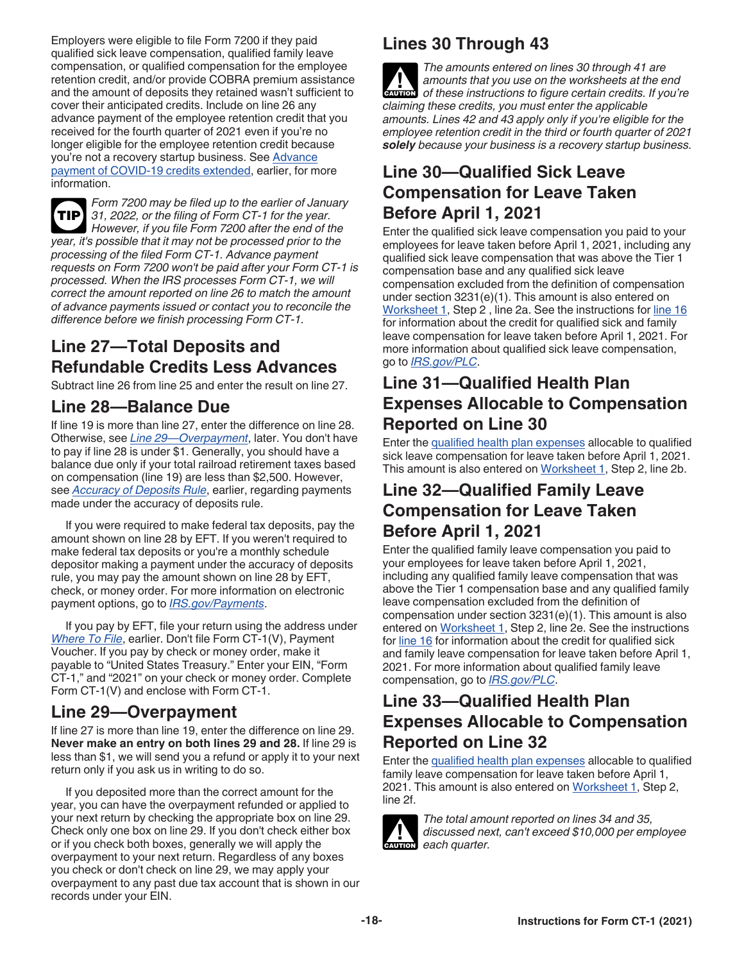<span id="page-17-0"></span>Employers were eligible to file Form 7200 if they paid qualified sick leave compensation, qualified family leave compensation, or qualified compensation for the employee retention credit, and/or provide COBRA premium assistance and the amount of deposits they retained wasn't sufficient to cover their anticipated credits. Include on line 26 any advance payment of the employee retention credit that you received for the fourth quarter of 2021 even if you're no longer eligible for the employee retention credit because you're not a recovery startup business. See [Advance](#page-2-0) [payment of COVID-19 credits extended](#page-2-0), earlier, for more information.

*Form 7200 may be filed up to the earlier of January 31, 2022, or the filing of Form CT-1 for the year.*  **TIP** *However, if you file Form 7200 after the end of the year, it's possible that it may not be processed prior to the processing of the filed Form CT-1. Advance payment requests on Form 7200 won't be paid after your Form CT-1 is processed. When the IRS processes Form CT-1, we will correct the amount reported on line 26 to match the amount of advance payments issued or contact you to reconcile the difference before we finish processing Form CT-1.*

### **Line 27—Total Deposits and Refundable Credits Less Advances**

Subtract line 26 from line 25 and enter the result on line 27.

#### **Line 28—Balance Due**

If line 19 is more than line 27, enter the difference on line 28. Otherwise, see *Line 29—Overpayment*, later. You don't have to pay if line 28 is under \$1. Generally, you should have a balance due only if your total railroad retirement taxes based on compensation (line 19) are less than \$2,500. However, see *[Accuracy of Deposits Rule](#page-8-0)*, earlier, regarding payments made under the accuracy of deposits rule.

If you were required to make federal tax deposits, pay the amount shown on line 28 by EFT. If you weren't required to make federal tax deposits or you're a monthly schedule depositor making a payment under the accuracy of deposits rule, you may pay the amount shown on line 28 by EFT, check, or money order. For more information on electronic payment options, go to *[IRS.gov/Payments](https://www.irs.gov/payments)*.

If you pay by EFT, file your return using the address under *[Where To File](#page-4-0)*, earlier. Don't file Form CT-1(V), Payment Voucher. If you pay by check or money order, make it payable to "United States Treasury." Enter your EIN, "Form CT-1," and "2021" on your check or money order. Complete Form CT-1(V) and enclose with Form CT-1.

#### **Line 29—Overpayment**

If line 27 is more than line 19, enter the difference on line 29. **Never make an entry on both lines 29 and 28.** If line 29 is less than \$1, we will send you a refund or apply it to your next return only if you ask us in writing to do so.

If you deposited more than the correct amount for the year, you can have the overpayment refunded or applied to your next return by checking the appropriate box on line 29. Check only one box on line 29. If you don't check either box or if you check both boxes, generally we will apply the overpayment to your next return. Regardless of any boxes you check or don't check on line 29, we may apply your overpayment to any past due tax account that is shown in our records under your EIN.

### **Lines 30 Through 43**

*The amounts entered on lines 30 through 41 are amounts that you use on the worksheets at the end of these instructions to figure certain credits. If you're claiming these credits, you must enter the applicable amounts. Lines 42 and 43 apply only if you're eligible for the employee retention credit in the third or fourth quarter of 2021 solely because your business is a recovery startup business.* **CAUTION !**

#### **Line 30—Qualified Sick Leave Compensation for Leave Taken Before April 1, 2021**

Enter the qualified sick leave compensation you paid to your employees for leave taken before April 1, 2021, including any qualified sick leave compensation that was above the Tier 1 compensation base and any qualified sick leave compensation excluded from the definition of compensation under section 3231(e)(1). This amount is also entered on [Worksheet 1,](#page-22-0) Step 2 , line 2a. See the instructions for [line 16](#page-12-0)  for information about the credit for qualified sick and family leave compensation for leave taken before April 1, 2021. For more information about qualified sick leave compensation, go to *[IRS.gov/PLC](https://www.irs.gov/plc)*.

#### **Line 31—Qualified Health Plan Expenses Allocable to Compensation Reported on Line 30**

Enter the [qualified health plan expenses](#page-12-0) allocable to qualified sick leave compensation for leave taken before April 1, 2021. This amount is also entered on [Worksheet 1](#page-22-0), Step 2, line 2b.

#### **Line 32—Qualified Family Leave Compensation for Leave Taken Before April 1, 2021**

Enter the qualified family leave compensation you paid to your employees for leave taken before April 1, 2021, including any qualified family leave compensation that was above the Tier 1 compensation base and any qualified family leave compensation excluded from the definition of compensation under section 3231(e)(1). This amount is also entered on [Worksheet 1](#page-22-0), Step 2, line 2e. See the instructions for [line 16](#page-12-0) for information about the credit for qualified sick and family leave compensation for leave taken before April 1, 2021. For more information about qualified family leave compensation, go to *[IRS.gov/PLC](https://www.irs.gov/plc)*.

#### **Line 33—Qualified Health Plan Expenses Allocable to Compensation Reported on Line 32**

Enter the [qualified health plan expenses](#page-12-0) allocable to qualified family leave compensation for leave taken before April 1, 2021. This amount is also entered on [Worksheet 1](#page-22-0), Step 2, line 2f.



*The total amount reported on lines 34 and 35, discussed next, can't exceed \$10,000 per employee each quarter.*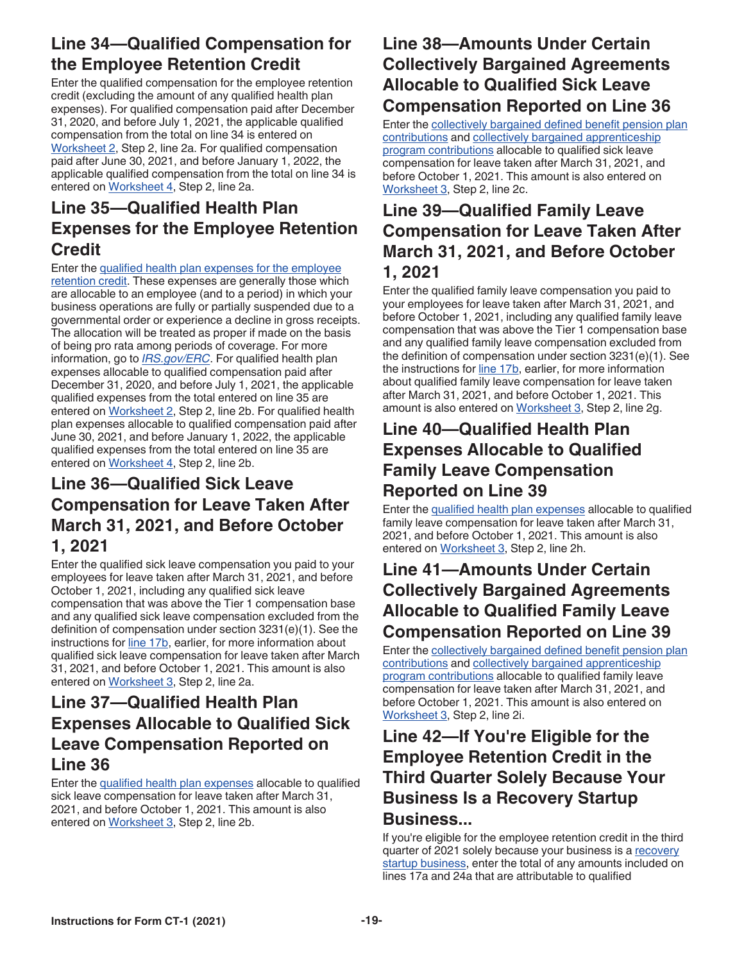#### <span id="page-18-0"></span>**Line 34—Qualified Compensation for the Employee Retention Credit**

Enter the qualified compensation for the employee retention credit (excluding the amount of any qualified health plan expenses). For qualified compensation paid after December 31, 2020, and before July 1, 2021, the applicable qualified compensation from the total on line 34 is entered on [Worksheet 2,](#page-23-0) Step 2, line 2a. For qualified compensation paid after June 30, 2021, and before January 1, 2022, the applicable qualified compensation from the total on line 34 is entered on [Worksheet 4](#page-25-0), Step 2, line 2a.

### **Line 35—Qualified Health Plan Expenses for the Employee Retention Credit**

Enter the [qualified health plan expenses for the employee](#page-13-0) [retention credit](#page-13-0). These expenses are generally those which are allocable to an employee (and to a period) in which your business operations are fully or partially suspended due to a governmental order or experience a decline in gross receipts. The allocation will be treated as proper if made on the basis of being pro rata among periods of coverage. For more information, go to *[IRS.gov/ERC](https://www.irs.gov/erc)*. For qualified health plan expenses allocable to qualified compensation paid after December 31, 2020, and before July 1, 2021, the applicable qualified expenses from the total entered on line 35 are entered on [Worksheet 2](#page-23-0), Step 2, line 2b. For qualified health plan expenses allocable to qualified compensation paid after June 30, 2021, and before January 1, 2022, the applicable qualified expenses from the total entered on line 35 are entered on [Worksheet 4](#page-25-0), Step 2, line 2b.

#### **Line 36—Qualified Sick Leave Compensation for Leave Taken After March 31, 2021, and Before October 1, 2021**

Enter the qualified sick leave compensation you paid to your employees for leave taken after March 31, 2021, and before October 1, 2021, including any qualified sick leave compensation that was above the Tier 1 compensation base and any qualified sick leave compensation excluded from the definition of compensation under section 3231(e)(1). See the instructions for [line 17b,](#page-14-0) earlier, for more information about qualified sick leave compensation for leave taken after March 31, 2021, and before October 1, 2021. This amount is also entered on [Worksheet 3](#page-24-0), Step 2, line 2a.

### **Line 37—Qualified Health Plan Expenses Allocable to Qualified Sick Leave Compensation Reported on Line 36**

Enter the [qualified health plan expenses](#page-15-0) allocable to qualified sick leave compensation for leave taken after March 31, 2021, and before October 1, 2021. This amount is also entered on [Worksheet 3](#page-24-0), Step 2, line 2b.

### **Line 38—Amounts Under Certain Collectively Bargained Agreements Allocable to Qualified Sick Leave Compensation Reported on Line 36**

Enter the [collectively bargained defined benefit pension plan](#page-15-0)  [contributions](#page-15-0) and [collectively bargained apprenticeship](#page-15-0) [program contributions](#page-15-0) allocable to qualified sick leave compensation for leave taken after March 31, 2021, and before October 1, 2021. This amount is also entered on [Worksheet 3,](#page-24-0) Step 2, line 2c.

### **Line 39—Qualified Family Leave Compensation for Leave Taken After March 31, 2021, and Before October 1, 2021**

Enter the qualified family leave compensation you paid to your employees for leave taken after March 31, 2021, and before October 1, 2021, including any qualified family leave compensation that was above the Tier 1 compensation base and any qualified family leave compensation excluded from the definition of compensation under section 3231(e)(1). See the instructions for [line 17b,](#page-14-0) earlier, for more information about qualified family leave compensation for leave taken after March 31, 2021, and before October 1, 2021. This amount is also entered on [Worksheet 3,](#page-24-0) Step 2, line 2g.

#### **Line 40—Qualified Health Plan Expenses Allocable to Qualified Family Leave Compensation Reported on Line 39**

Enter the [qualified health plan expenses](#page-15-0) allocable to qualified family leave compensation for leave taken after March 31, 2021, and before October 1, 2021. This amount is also entered on [Worksheet 3](#page-24-0), Step 2, line 2h.

#### **Line 41—Amounts Under Certain Collectively Bargained Agreements Allocable to Qualified Family Leave Compensation Reported on Line 39**

Enter the [collectively bargained defined benefit pension plan](#page-15-0)  [contributions](#page-15-0) and [collectively bargained apprenticeship](#page-15-0) [program contributions](#page-15-0) allocable to qualified family leave compensation for leave taken after March 31, 2021, and before October 1, 2021. This amount is also entered on [Worksheet 3,](#page-24-0) Step 2, line 2i.

### **Line 42—If You're Eligible for the Employee Retention Credit in the Third Quarter Solely Because Your Business Is a Recovery Startup Business...**

If you're eligible for the employee retention credit in the third quarter of 2021 solely because your business is a [recovery](#page-14-0) [startup business,](#page-14-0) enter the total of any amounts included on lines 17a and 24a that are attributable to qualified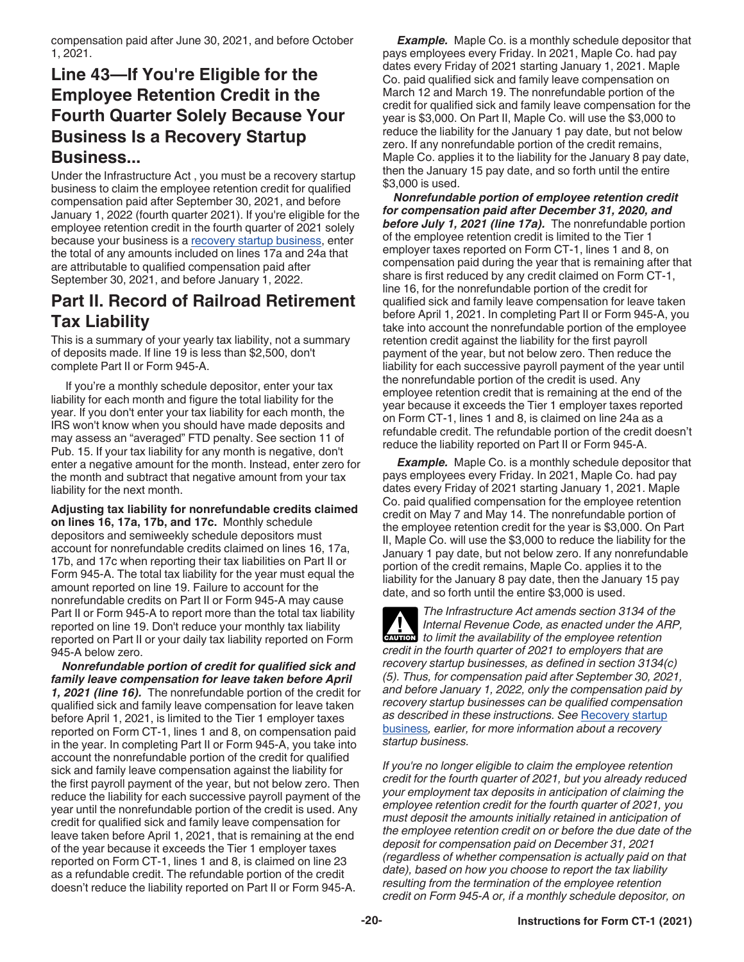<span id="page-19-0"></span>compensation paid after June 30, 2021, and before October 1, 2021.

#### **Line 43—If You're Eligible for the Employee Retention Credit in the Fourth Quarter Solely Because Your Business Is a Recovery Startup Business...**

Under the Infrastructure Act , you must be a recovery startup business to claim the employee retention credit for qualified compensation paid after September 30, 2021, and before January 1, 2022 (fourth quarter 2021). If you're eligible for the employee retention credit in the fourth quarter of 2021 solely because your business is a [recovery startup business,](#page-14-0) enter the total of any amounts included on lines 17a and 24a that are attributable to qualified compensation paid after September 30, 2021, and before January 1, 2022.

#### **Part II. Record of Railroad Retirement Tax Liability**

This is a summary of your yearly tax liability, not a summary of deposits made. If line 19 is less than \$2,500, don't complete Part II or Form 945-A.

If you're a monthly schedule depositor, enter your tax liability for each month and figure the total liability for the year. If you don't enter your tax liability for each month, the IRS won't know when you should have made deposits and may assess an "averaged" FTD penalty. See section 11 of Pub. 15. If your tax liability for any month is negative, don't enter a negative amount for the month. Instead, enter zero for the month and subtract that negative amount from your tax liability for the next month.

**Adjusting tax liability for nonrefundable credits claimed on lines 16, 17a, 17b, and 17c.** Monthly schedule depositors and semiweekly schedule depositors must account for nonrefundable credits claimed on lines 16, 17a, 17b, and 17c when reporting their tax liabilities on Part II or Form 945-A. The total tax liability for the year must equal the amount reported on line 19. Failure to account for the nonrefundable credits on Part II or Form 945-A may cause Part II or Form 945-A to report more than the total tax liability reported on line 19. Don't reduce your monthly tax liability reported on Part II or your daily tax liability reported on Form 945-A below zero.

*Nonrefundable portion of credit for qualified sick and family leave compensation for leave taken before April 1, 2021 (line 16).* The nonrefundable portion of the credit for qualified sick and family leave compensation for leave taken before April 1, 2021, is limited to the Tier 1 employer taxes reported on Form CT-1, lines 1 and 8, on compensation paid in the year. In completing Part II or Form 945-A, you take into account the nonrefundable portion of the credit for qualified sick and family leave compensation against the liability for the first payroll payment of the year, but not below zero. Then reduce the liability for each successive payroll payment of the year until the nonrefundable portion of the credit is used. Any credit for qualified sick and family leave compensation for leave taken before April 1, 2021, that is remaining at the end of the year because it exceeds the Tier 1 employer taxes reported on Form CT-1, lines 1 and 8, is claimed on line 23 as a refundable credit. The refundable portion of the credit doesn't reduce the liability reported on Part II or Form 945-A.

**Example.** Maple Co. is a monthly schedule depositor that pays employees every Friday. In 2021, Maple Co. had pay dates every Friday of 2021 starting January 1, 2021. Maple Co. paid qualified sick and family leave compensation on March 12 and March 19. The nonrefundable portion of the credit for qualified sick and family leave compensation for the year is \$3,000. On Part II, Maple Co. will use the \$3,000 to reduce the liability for the January 1 pay date, but not below zero. If any nonrefundable portion of the credit remains, Maple Co. applies it to the liability for the January 8 pay date, then the January 15 pay date, and so forth until the entire \$3,000 is used.

*Nonrefundable portion of employee retention credit for compensation paid after December 31, 2020, and before July 1, 2021 (line 17a).* The nonrefundable portion of the employee retention credit is limited to the Tier 1 employer taxes reported on Form CT-1, lines 1 and 8, on compensation paid during the year that is remaining after that share is first reduced by any credit claimed on Form CT-1, line 16, for the nonrefundable portion of the credit for qualified sick and family leave compensation for leave taken before April 1, 2021. In completing Part II or Form 945-A, you take into account the nonrefundable portion of the employee retention credit against the liability for the first payroll payment of the year, but not below zero. Then reduce the liability for each successive payroll payment of the year until the nonrefundable portion of the credit is used. Any employee retention credit that is remaining at the end of the year because it exceeds the Tier 1 employer taxes reported on Form CT-1, lines 1 and 8, is claimed on line 24a as a refundable credit. The refundable portion of the credit doesn't reduce the liability reported on Part II or Form 945-A.

**Example.** Maple Co. is a monthly schedule depositor that pays employees every Friday. In 2021, Maple Co. had pay dates every Friday of 2021 starting January 1, 2021. Maple Co. paid qualified compensation for the employee retention credit on May 7 and May 14. The nonrefundable portion of the employee retention credit for the year is \$3,000. On Part II, Maple Co. will use the \$3,000 to reduce the liability for the January 1 pay date, but not below zero. If any nonrefundable portion of the credit remains, Maple Co. applies it to the liability for the January 8 pay date, then the January 15 pay date, and so forth until the entire \$3,000 is used.

*The Infrastructure Act amends section 3134 of the Internal Revenue Code, as enacted under the ARP, caution to limit the availability of the employee retention credit in the fourth quarter of 2021 to employers that are recovery startup businesses, as defined in section 3134(c) (5). Thus, for compensation paid after September 30, 2021, and before January 1, 2022, only the compensation paid by recovery startup businesses can be qualified compensation as described in these instructions. See* [Recovery startup](#page-14-0) [business](#page-14-0)*, earlier, for more information about a recovery startup business.*

*If you're no longer eligible to claim the employee retention credit for the fourth quarter of 2021, but you already reduced your employment tax deposits in anticipation of claiming the employee retention credit for the fourth quarter of 2021, you must deposit the amounts initially retained in anticipation of the employee retention credit on or before the due date of the deposit for compensation paid on December 31, 2021 (regardless of whether compensation is actually paid on that date), based on how you choose to report the tax liability resulting from the termination of the employee retention credit on Form 945-A or, if a monthly schedule depositor, on*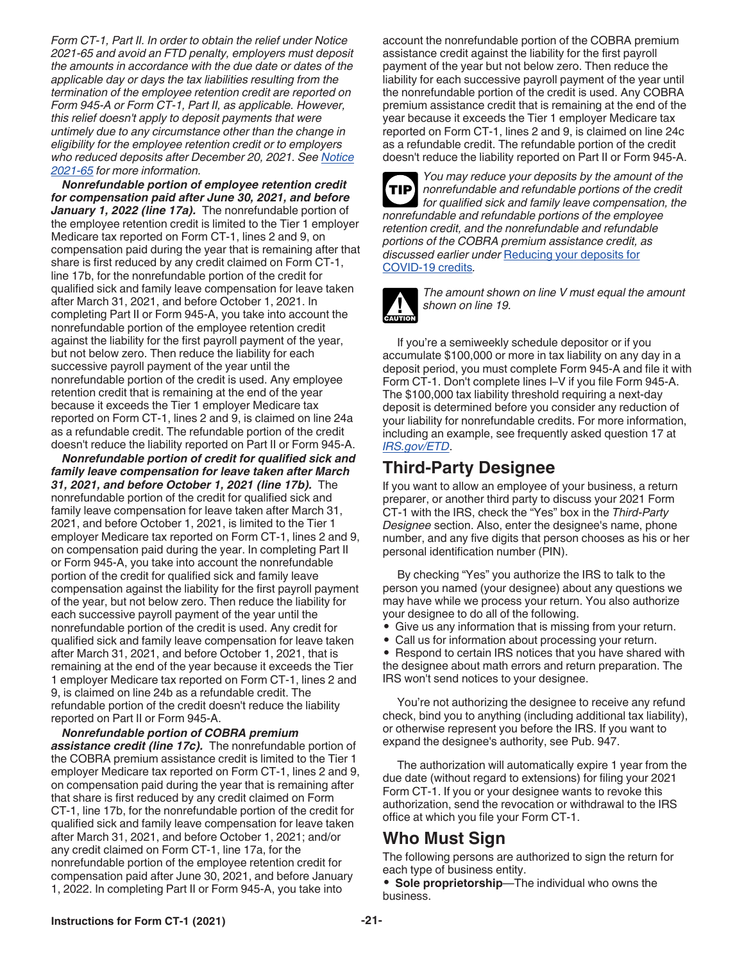<span id="page-20-0"></span>*Form CT-1, Part II. In order to obtain the relief under Notice 2021-65 and avoid an FTD penalty, employers must deposit the amounts in accordance with the due date or dates of the applicable day or days the tax liabilities resulting from the termination of the employee retention credit are reported on Form 945-A or Form CT-1, Part II, as applicable. However, this relief doesn't apply to deposit payments that were untimely due to any circumstance other than the change in eligibility for the employee retention credit or to employers who reduced deposits after December 20, 2021. See [Notice](https://www.irs.gov/irb/2021-51_IRB#NOT-2021-65)  [2021-65](https://www.irs.gov/irb/2021-51_IRB#NOT-2021-65) for more information.*

*Nonrefundable portion of employee retention credit for compensation paid after June 30, 2021, and before January 1, 2022 (line 17a).* The nonrefundable portion of the employee retention credit is limited to the Tier 1 employer Medicare tax reported on Form CT-1, lines 2 and 9, on compensation paid during the year that is remaining after that share is first reduced by any credit claimed on Form CT-1, line 17b, for the nonrefundable portion of the credit for qualified sick and family leave compensation for leave taken after March 31, 2021, and before October 1, 2021. In completing Part II or Form 945-A, you take into account the nonrefundable portion of the employee retention credit against the liability for the first payroll payment of the year, but not below zero. Then reduce the liability for each successive payroll payment of the year until the nonrefundable portion of the credit is used. Any employee retention credit that is remaining at the end of the year because it exceeds the Tier 1 employer Medicare tax reported on Form CT-1, lines 2 and 9, is claimed on line 24a as a refundable credit. The refundable portion of the credit doesn't reduce the liability reported on Part II or Form 945-A.

*Nonrefundable portion of credit for qualified sick and family leave compensation for leave taken after March 31, 2021, and before October 1, 2021 (line 17b).* The nonrefundable portion of the credit for qualified sick and family leave compensation for leave taken after March 31, 2021, and before October 1, 2021, is limited to the Tier 1 employer Medicare tax reported on Form CT-1, lines 2 and 9, on compensation paid during the year. In completing Part II or Form 945-A, you take into account the nonrefundable portion of the credit for qualified sick and family leave compensation against the liability for the first payroll payment of the year, but not below zero. Then reduce the liability for each successive payroll payment of the year until the nonrefundable portion of the credit is used. Any credit for qualified sick and family leave compensation for leave taken after March 31, 2021, and before October 1, 2021, that is remaining at the end of the year because it exceeds the Tier 1 employer Medicare tax reported on Form CT-1, lines 2 and 9, is claimed on line 24b as a refundable credit. The refundable portion of the credit doesn't reduce the liability reported on Part II or Form 945-A.

*Nonrefundable portion of COBRA premium assistance credit (line 17c).* The nonrefundable portion of the COBRA premium assistance credit is limited to the Tier 1 employer Medicare tax reported on Form CT-1, lines 2 and 9, on compensation paid during the year that is remaining after that share is first reduced by any credit claimed on Form CT-1, line 17b, for the nonrefundable portion of the credit for qualified sick and family leave compensation for leave taken after March 31, 2021, and before October 1, 2021; and/or any credit claimed on Form CT-1, line 17a, for the nonrefundable portion of the employee retention credit for compensation paid after June 30, 2021, and before January 1, 2022. In completing Part II or Form 945-A, you take into

account the nonrefundable portion of the COBRA premium assistance credit against the liability for the first payroll payment of the year but not below zero. Then reduce the liability for each successive payroll payment of the year until the nonrefundable portion of the credit is used. Any COBRA premium assistance credit that is remaining at the end of the year because it exceeds the Tier 1 employer Medicare tax reported on Form CT-1, lines 2 and 9, is claimed on line 24c as a refundable credit. The refundable portion of the credit doesn't reduce the liability reported on Part II or Form 945-A.



*You may reduce your deposits by the amount of the nonrefundable and refundable portions of the credit for qualified sick and family leave compensation, the nonrefundable and refundable portions of the employee retention credit, and the nonrefundable and refundable portions of the COBRA premium assistance credit, as discussed earlier under* [Reducing your deposits for](#page-8-0)  [COVID-19 credits](#page-8-0)*.*



*The amount shown on line V must equal the amount shown on line 19.*

If you're a semiweekly schedule depositor or if you accumulate \$100,000 or more in tax liability on any day in a deposit period, you must complete Form 945-A and file it with Form CT-1. Don't complete lines I–V if you file Form 945-A. The \$100,000 tax liability threshold requiring a next-day deposit is determined before you consider any reduction of your liability for nonrefundable credits. For more information, including an example, see frequently asked question 17 at *[IRS.gov/ETD](https://www.irs.gov/etd)*.

#### **Third-Party Designee**

If you want to allow an employee of your business, a return preparer, or another third party to discuss your 2021 Form CT-1 with the IRS, check the "Yes" box in the *Third-Party Designee* section. Also, enter the designee's name, phone number, and any five digits that person chooses as his or her personal identification number (PIN).

By checking "Yes" you authorize the IRS to talk to the person you named (your designee) about any questions we may have while we process your return. You also authorize your designee to do all of the following.

- Give us any information that is missing from your return.
- Call us for information about processing your return.

• Respond to certain IRS notices that you have shared with the designee about math errors and return preparation. The IRS won't send notices to your designee.

You're not authorizing the designee to receive any refund check, bind you to anything (including additional tax liability), or otherwise represent you before the IRS. If you want to expand the designee's authority, see Pub. 947.

The authorization will automatically expire 1 year from the due date (without regard to extensions) for filing your 2021 Form CT-1. If you or your designee wants to revoke this authorization, send the revocation or withdrawal to the IRS office at which you file your Form CT-1.

#### **Who Must Sign**

The following persons are authorized to sign the return for each type of business entity.

• **Sole proprietorship**—The individual who owns the business.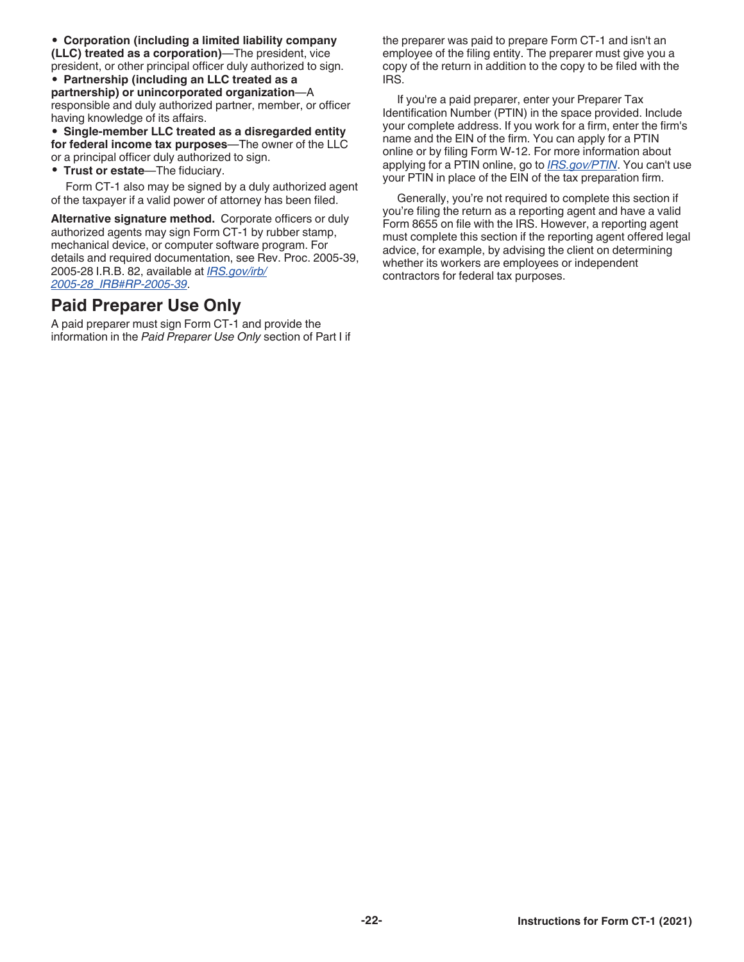<span id="page-21-0"></span>• **Corporation (including a limited liability company (LLC) treated as a corporation)**—The president, vice president, or other principal officer duly authorized to sign.

• **Partnership (including an LLC treated as a partnership) or unincorporated organization**—A responsible and duly authorized partner, member, or officer having knowledge of its affairs.

• **Single-member LLC treated as a disregarded entity for federal income tax purposes**—The owner of the LLC or a principal officer duly authorized to sign.

• **Trust or estate**—The fiduciary.

Form CT-1 also may be signed by a duly authorized agent of the taxpayer if a valid power of attorney has been filed.

**Alternative signature method.** Corporate officers or duly authorized agents may sign Form CT-1 by rubber stamp, mechanical device, or computer software program. For details and required documentation, see Rev. Proc. 2005-39, 2005-28 I.R.B. 82, available at *[IRS.gov/irb/](https://www.irs.gov/irb/2005-28_IRB#RP-2005-39) [2005-28\\_IRB#RP-2005-39](https://www.irs.gov/irb/2005-28_IRB#RP-2005-39)*.

#### **Paid Preparer Use Only**

A paid preparer must sign Form CT-1 and provide the information in the *Paid Preparer Use Only* section of Part I if the preparer was paid to prepare Form CT-1 and isn't an employee of the filing entity. The preparer must give you a copy of the return in addition to the copy to be filed with the IRS.

If you're a paid preparer, enter your Preparer Tax Identification Number (PTIN) in the space provided. Include your complete address. If you work for a firm, enter the firm's name and the EIN of the firm. You can apply for a PTIN online or by filing Form W-12. For more information about applying for a PTIN online, go to *[IRS.gov/PTIN](https://www.irs.gov/ptin)*. You can't use your PTIN in place of the EIN of the tax preparation firm.

Generally, you're not required to complete this section if you're filing the return as a reporting agent and have a valid Form 8655 on file with the IRS. However, a reporting agent must complete this section if the reporting agent offered legal advice, for example, by advising the client on determining whether its workers are employees or independent contractors for federal tax purposes.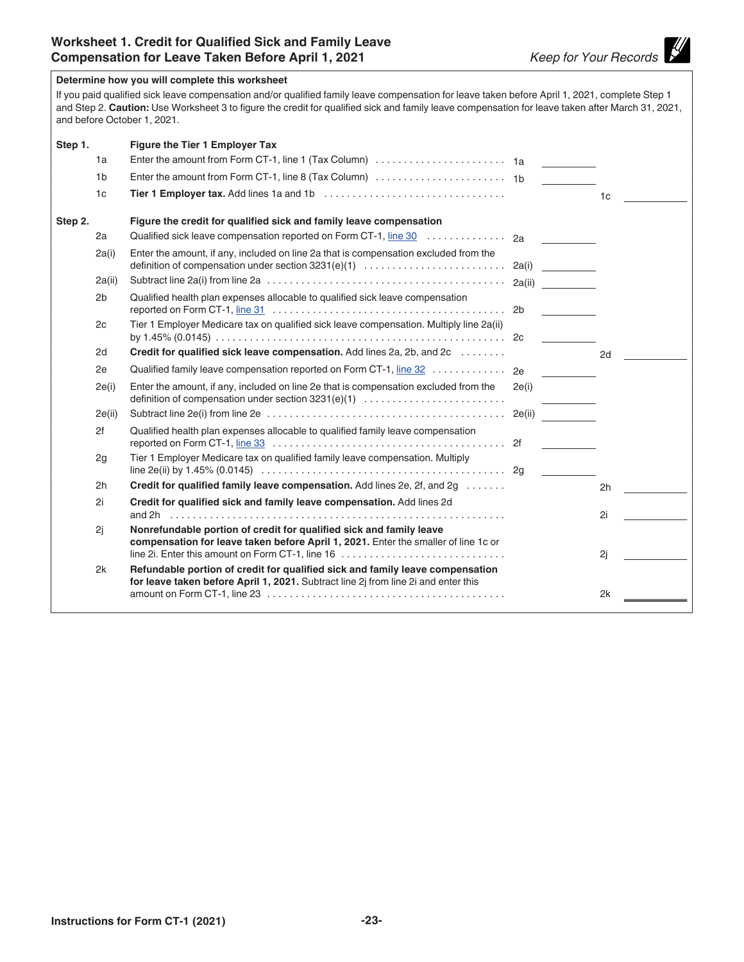$\mathscr Y$ 

<span id="page-22-0"></span>

|         |                | Determine how you will complete this worksheet<br>If you paid qualified sick leave compensation and/or qualified family leave compensation for leave taken before April 1, 2021, complete Step 1<br>and Step 2. Caution: Use Worksheet 3 to figure the credit for qualified sick and family leave compensation for leave taken after March 31, 2021,<br>and before October 1, 2021. |        |                |
|---------|----------------|-------------------------------------------------------------------------------------------------------------------------------------------------------------------------------------------------------------------------------------------------------------------------------------------------------------------------------------------------------------------------------------|--------|----------------|
| Step 1. |                | Figure the Tier 1 Employer Tax                                                                                                                                                                                                                                                                                                                                                      |        |                |
|         | 1a             |                                                                                                                                                                                                                                                                                                                                                                                     |        |                |
|         | 1 <sub>b</sub> |                                                                                                                                                                                                                                                                                                                                                                                     |        |                |
|         | 1 <sub>c</sub> |                                                                                                                                                                                                                                                                                                                                                                                     |        | 1 <sub>c</sub> |
| Step 2. |                | Figure the credit for qualified sick and family leave compensation                                                                                                                                                                                                                                                                                                                  |        |                |
|         | 2a             |                                                                                                                                                                                                                                                                                                                                                                                     |        |                |
|         | 2a(i)          | Enter the amount, if any, included on line 2a that is compensation excluded from the                                                                                                                                                                                                                                                                                                |        | 2a(i)          |
|         | 2a(ii)         |                                                                                                                                                                                                                                                                                                                                                                                     |        |                |
|         | 2b             | Qualified health plan expenses allocable to qualified sick leave compensation                                                                                                                                                                                                                                                                                                       | 2b     |                |
|         | 2c             | Tier 1 Employer Medicare tax on qualified sick leave compensation. Multiply line 2a(ii)                                                                                                                                                                                                                                                                                             | 2c     |                |
|         | 2d             | Credit for qualified sick leave compensation. Add lines 2a, 2b, and 2c                                                                                                                                                                                                                                                                                                              |        | 2d             |
|         | 2e             | Qualified family leave compensation reported on Form CT-1, line 32                                                                                                                                                                                                                                                                                                                  | 2e     |                |
|         | 2e(i)          | Enter the amount, if any, included on line 2e that is compensation excluded from the<br>definition of compensation under section 3231(e)(1)                                                                                                                                                                                                                                         | 2e(i)  |                |
|         | 2e(ii)         |                                                                                                                                                                                                                                                                                                                                                                                     | 2e(ii) |                |
|         | 2f             | Qualified health plan expenses allocable to qualified family leave compensation                                                                                                                                                                                                                                                                                                     |        |                |
|         | 2g             | Tier 1 Employer Medicare tax on qualified family leave compensation. Multiply                                                                                                                                                                                                                                                                                                       |        |                |
|         | 2h             | Credit for qualified family leave compensation. Add lines 2e, 2f, and 2g                                                                                                                                                                                                                                                                                                            |        | 2h             |
|         | 2i             | Credit for qualified sick and family leave compensation. Add lines 2d                                                                                                                                                                                                                                                                                                               |        | 2i             |
|         | 2i             | Nonrefundable portion of credit for qualified sick and family leave<br>compensation for leave taken before April 1, 2021. Enter the smaller of line 1c or                                                                                                                                                                                                                           |        | 2j             |
|         | 2k             | Refundable portion of credit for qualified sick and family leave compensation<br>for leave taken before April 1, 2021. Subtract line 2j from line 2i and enter this<br>amount on Form CT-1, line 23 $\dots \dots \dots \dots \dots \dots \dots \dots \dots \dots \dots \dots \dots \dots \dots \dots$                                                                               |        | 2k             |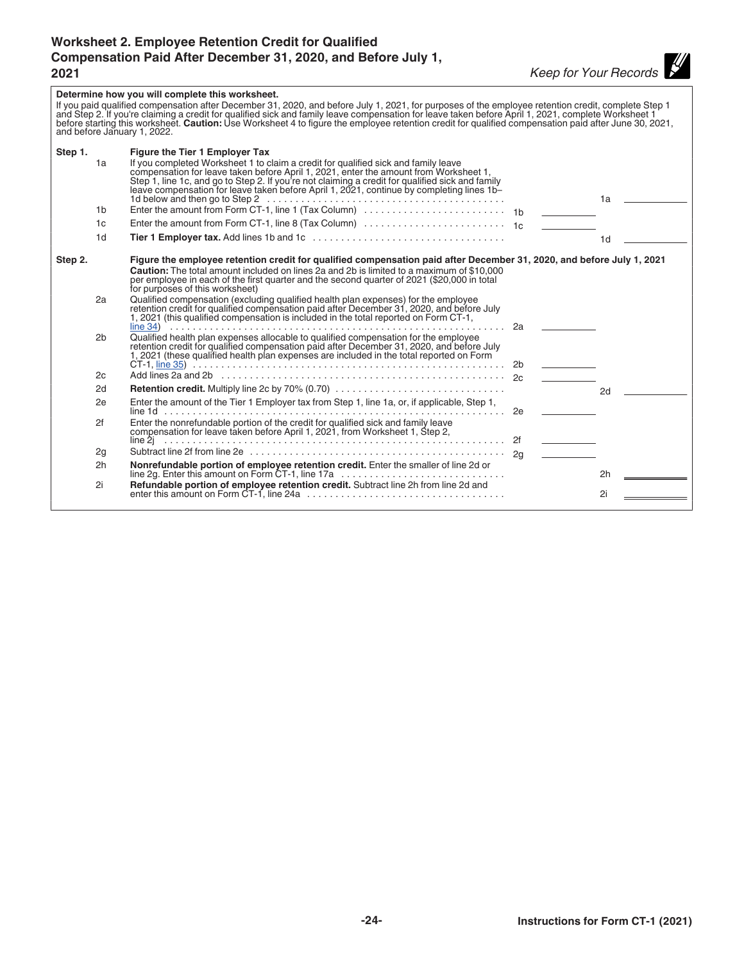#### <span id="page-23-0"></span>**Worksheet 2. Employee Retention Credit for Qualified Compensation Paid After December 31, 2020, and Before July 1, 2021** *Keep for Your Records*

#### **Determine how you will complete this worksheet.**  If you paid qualified compensation after December 31, 2020, and before July 1, 2021, for purposes of the employee retention credit, complete Step 1<br>and Step 2. If you're claiming a credit for qualified sick and family leav before starting this worksheet. **Caution:** Use Worksheet 4 to figure the employee retention credit for qualified compensation paid after June 30, 2021, and before January 1, 2022. **Step 1. Figure the Tier 1 Employer Tax** 1a If you completed Worksheet 1 to claim a credit for qualified sick and family leave compensation for leave taken before April 1, 2021, enter the amount from Worksheet 1,<br>Step 1, line 1c, and go to Step 2. If you're not claiming a credit for qualified sick and family<br>leave compensation for leave taken befo 1d below and then go to Step 2 .......................................... 1a 1b Enter the amount from Form CT-1, line 1 (Tax Column) ......................... 1b 1c Enter the amount from Form CT-1, line 8 (Tax Column) ......................... 1c 1d **Tier 1 Employer tax.** Add lines 1b and 1c .................................. 1d **Step 2. Figure the employee retention credit for qualified compensation paid after December 31, 2020, and before July 1, 2021 Caution:** The total amount included on lines 2a and 2b is limited to a maximum of \$10,000 per employee in each of the first quarter and the second quarter of 2021 (\$20,000 in total for purposes of this worksheet) 2a Qualified compensation (excluding qualified health plan expenses) for the employee retention credit for qualified compensation paid after December 31, 2020, and before July 1, 2021 (this qualified compensation is included in the total reported on Form CT-1, [line 34\)](#page-18-0) ........................................................... 2a 2b Qualified health plan expenses allocable to qualified compensation for the employee retention credit for qualified compensation paid after December 31, 2020, and before July 1, 2021 (these qualified health plan expenses are included in the total reported on Form CT-1, [line 35](#page-18-0)) ....................................................... 2b 2c Add lines 2a and 2b .................................................. 2c 2d **Retention credit.** Multiply line 2c by 70% (0.70) .............................. 2d 2e Enter the amount of the Tier 1 Employer tax from Step 1, line 1a, or, if applicable, Step 1, line 1d ............................................................ 2e 2f Enter the nonrefundable portion of the credit for qualified sick and family leave compensation for leave taken before April 1, 2021, from Worksheet 1, Step 2, line 2j ............................................................ 2f 2g Subtract line 2f from line 2e ............................................. 2g 2h **Nonrefundable portion of employee retention credit.** Enter the smaller of line 2d or line 2g. Enter this amount on Form CT-1, line 17a ............................. 2h 2i **Refundable portion of employee retention credit.** Subtract line 2h from line 2d and enter this amount on Form CT-1, line 24a ................................... 2i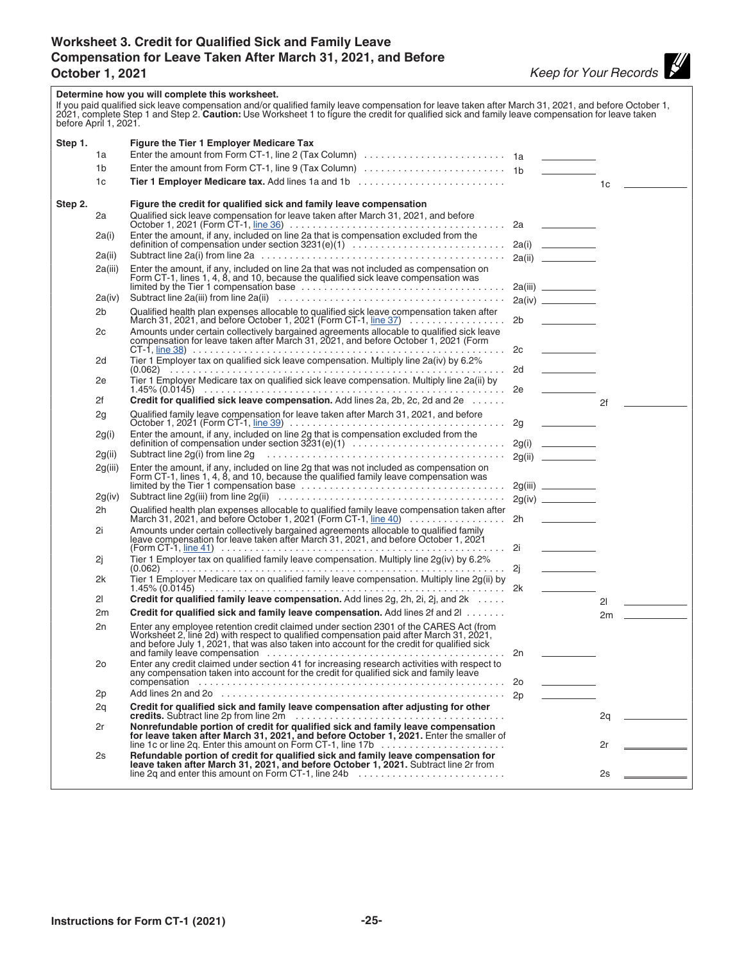### <span id="page-24-0"></span>**Worksheet 3. Credit for Qualified Sick and Family Leave Compensation for Leave Taken After March 31, 2021, and Before**

| before April 1, 2021. |         | Determine how you will complete this worksheet.<br>If you paid qualified sick leave compensation and/or qualified family leave compensation for leave taken after March 31, 2021, and before October 1,<br>2021, complete Step 1 and Step 2. Caution: Use Worksheet 1 to figure the |    |                                   |
|-----------------------|---------|-------------------------------------------------------------------------------------------------------------------------------------------------------------------------------------------------------------------------------------------------------------------------------------|----|-----------------------------------|
| Step 1.               |         | Figure the Tier 1 Employer Medicare Tax                                                                                                                                                                                                                                             |    |                                   |
|                       | 1a      |                                                                                                                                                                                                                                                                                     |    |                                   |
|                       | 1b      |                                                                                                                                                                                                                                                                                     |    |                                   |
|                       | 1c      | Tier 1 Employer Medicare tax. Add lines 1a and 1b                                                                                                                                                                                                                                   |    | 1c                                |
|                       |         |                                                                                                                                                                                                                                                                                     |    |                                   |
| Step 2.               |         | Figure the credit for qualified sick and family leave compensation                                                                                                                                                                                                                  |    |                                   |
|                       | 2a      | Qualified sick leave compensation for leave taken after March 31, 2021, and before                                                                                                                                                                                                  |    |                                   |
|                       | 2a(i)   | Enter the amount, if any, included on line 2a that is compensation excluded from the                                                                                                                                                                                                |    |                                   |
|                       |         |                                                                                                                                                                                                                                                                                     |    |                                   |
|                       | 2a(ii)  |                                                                                                                                                                                                                                                                                     |    |                                   |
|                       | 2a(iii) | Enter the amount, if any, included on line 2a that was not included as compensation on<br>Form CT-1, lines 1, 4, 8, and 10, because the qualified sick leave compensation was                                                                                                       |    |                                   |
|                       | 2a(iv)  | Subtract line 2a(iii) from line 2a(ii) $\ldots \ldots \ldots \ldots \ldots \ldots \ldots \ldots \ldots \ldots \ldots \ldots \ldots$                                                                                                                                                 |    |                                   |
|                       | 2b      | Qualified health plan expenses allocable to qualified sick leave compensation taken after<br>March 31, 2021, and before October 1, 2021 (Form CT-1, $\underline{\text{line 37}}$ )                                                                                                  |    |                                   |
|                       | 2c      |                                                                                                                                                                                                                                                                                     |    | 2b                                |
|                       |         | Amounts under certain collectively bargained agreements allocable to qualified sick leave<br>compensation for leave taken after March 31, 2021, and before October 1, 2021 (Form                                                                                                    |    |                                   |
|                       |         |                                                                                                                                                                                                                                                                                     | 2c | <b>Contract Contract Contract</b> |
|                       | 2d      | Tier 1 Employer tax on qualified sick leave compensation. Multiply line 2a(iv) by 6.2%                                                                                                                                                                                              | 2d |                                   |
|                       | 2e      | Tier 1 Employer Medicare tax on qualified sick leave compensation. Multiply line 2a(ii) by                                                                                                                                                                                          |    |                                   |
|                       | 2f      | Credit for qualified sick leave compensation. Add lines 2a, 2b, 2c, 2d and 2e                                                                                                                                                                                                       |    | 2f                                |
|                       | 2g      |                                                                                                                                                                                                                                                                                     |    |                                   |
|                       | 2g(i)   |                                                                                                                                                                                                                                                                                     |    |                                   |
|                       |         |                                                                                                                                                                                                                                                                                     |    |                                   |
|                       | 2g(ii)  | Subtract line $2g(i)$ from line $2g \dots \dots \dots \dots \dots \dots \dots \dots \dots \dots \dots \dots \dots$                                                                                                                                                                  |    | 2g(ii)                            |
|                       | 2g(iii) | Enter the amount, if any, included on line 2g that was not included as compensation on<br>Form CT-1, lines 1, 4, 8, and 10, because the qualified family leave compensation was<br>limited by the Tier 1 compensation base                                                          |    |                                   |
|                       | 2g(iv)  |                                                                                                                                                                                                                                                                                     |    |                                   |
|                       | 2h      |                                                                                                                                                                                                                                                                                     |    |                                   |
|                       | 2i      | Amounts under certain collectively bargained agreements allocable to qualified family leave compensation for leave taken after March 31, 2021, and before October 1, 2021                                                                                                           |    | <b>Contract Contract Contract</b> |
|                       | 2i      | Tier 1 Employer tax on qualified family leave compensation. Multiply line 2g(iv) by 6.2%                                                                                                                                                                                            |    | <u>and the state of the state</u> |
|                       | 2k      | Tier 1 Employer Medicare tax on qualified family leave compensation. Multiply line 2g(ii) by                                                                                                                                                                                        |    |                                   |
|                       | 21      | Credit for qualified family leave compensation. Add lines 2g, 2h, 2i, 2j, and 2k                                                                                                                                                                                                    |    | 21                                |
|                       | 2m      | Credit for qualified sick and family leave compensation. Add lines 2f and 2l                                                                                                                                                                                                        |    | $2m \quad \underline{\qquad}$     |
|                       | 2n      | Enter any employee retention credit claimed under section 2301 of the CARES Act (from<br>Worksheet 2, line 2d) with respect to qualified compensation paid after March 31, 2021,<br>and before July 1, 2021, that was also taken into account for the credit for qualified sick     |    |                                   |
|                       | 2ο      | Enter any credit claimed under section 41 for increasing research activities with respect to any compensation taken into account for the credit for qualified sick and family leave                                                                                                 | 2o |                                   |
|                       | 2p      |                                                                                                                                                                                                                                                                                     |    |                                   |
|                       | 2q      | Credit for qualified sick and family leave compensation after adjusting for other                                                                                                                                                                                                   |    | 2q                                |
|                       | 2r      | Nonrefundable portion of credit for qualified sick and family leave compensation<br>for leave taken after March 31, 2021, and before October 1, 2021. Enter the smaller of                                                                                                          |    |                                   |
|                       | 2s      | line 1c or line 2q. Enter this amount on Form CT-1, line 17b $\dots\dots\dots\dots\dots\dots\dots\dots$<br>Refundable portion of credit for qualified sick and family leave compensation for<br>leave taken after March 31, 2021, and before October 1, 2021. Subtract line 2r from |    | 2r                                |
|                       |         | line 2q and enter this amount on Form CT-1, line 24b $\ldots$ , $\ldots$ , $\ldots$ , $\ldots$ , $\ldots$                                                                                                                                                                           |    | 2s                                |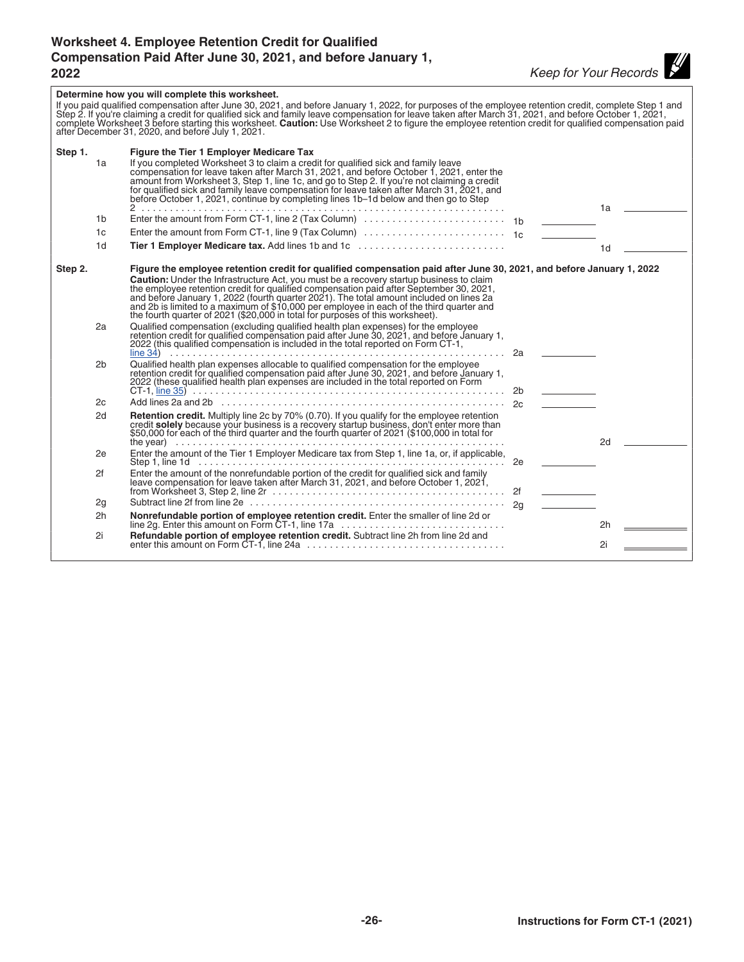#### <span id="page-25-0"></span>**Worksheet 4. Employee Retention Credit for Qualified Compensation Paid After June 30, 2021, and before January 1, 2022** *Keep for Your Records*

|                                       | Determine how you will complete this worksheet.<br>If you paid qualified compensation after June 30, 2021, and before January 1, 2022, for purposes of the employee retention credit, complete Step 1 and<br>Step 2. If you're claiming a credit for qualified sick and family leave compensation for leave taken after March 31, 2021, and before October 1, 2021,<br>complete Worksheet 3 before starting this worksheet. Caution: Use Worksheet 2 to figure the employee retention credit for qualified compensation paid<br>after December 31, 2020, and before July 1, 2021.                                                                                                                                                                                                                                                                                                                                                                                                                                                                                                                                                                 |      |                |
|---------------------------------------|---------------------------------------------------------------------------------------------------------------------------------------------------------------------------------------------------------------------------------------------------------------------------------------------------------------------------------------------------------------------------------------------------------------------------------------------------------------------------------------------------------------------------------------------------------------------------------------------------------------------------------------------------------------------------------------------------------------------------------------------------------------------------------------------------------------------------------------------------------------------------------------------------------------------------------------------------------------------------------------------------------------------------------------------------------------------------------------------------------------------------------------------------|------|----------------|
| Step 1.                               | Figure the Tier 1 Employer Medicare Tax                                                                                                                                                                                                                                                                                                                                                                                                                                                                                                                                                                                                                                                                                                                                                                                                                                                                                                                                                                                                                                                                                                           |      |                |
| 1a                                    | If you completed Worksheet 3 to claim a credit for qualified sick and family leave<br>compensation for leave taken after March 31, 2021, and before October 1, 2021, enter the<br>amount from Worksheet 3, Step 1, line 1c, and go to Step 2. If you're not claiming a credit<br>for qualified sick and family leave compensation for leave taken after March 31, 2021, and<br>before October 1, 2021, continue by completing lines 1b-1d below and then go to Step                                                                                                                                                                                                                                                                                                                                                                                                                                                                                                                                                                                                                                                                               |      | 1a             |
| 1b                                    |                                                                                                                                                                                                                                                                                                                                                                                                                                                                                                                                                                                                                                                                                                                                                                                                                                                                                                                                                                                                                                                                                                                                                   |      |                |
| 1 <sub>c</sub>                        | Enter the amount from Form CT-1, line 9 (Tax Column) $\ldots \ldots \ldots \ldots \ldots \ldots \ldots$                                                                                                                                                                                                                                                                                                                                                                                                                                                                                                                                                                                                                                                                                                                                                                                                                                                                                                                                                                                                                                           |      |                |
| 1d                                    | Tier 1 Employer Medicare tax. Add lines 1b and 1c                                                                                                                                                                                                                                                                                                                                                                                                                                                                                                                                                                                                                                                                                                                                                                                                                                                                                                                                                                                                                                                                                                 |      | 1 <sub>d</sub> |
|                                       |                                                                                                                                                                                                                                                                                                                                                                                                                                                                                                                                                                                                                                                                                                                                                                                                                                                                                                                                                                                                                                                                                                                                                   |      |                |
| Step 2.<br>2a<br>2 <sub>b</sub><br>2c | Figure the employee retention credit for qualified compensation paid after June 30, 2021, and before January 1, 2022<br>Caution: Under the Infrastructure Act, you must be a recovery startup business to claim<br>the employee retention credit for qualified compensation paid after September 30, 2021,<br>and before January 1, 2022 (fourth quarter 2021). The total amount included on lines 2a<br>and 2b is limited to a maximum of \$10,000 per employee in each of the third quarter and<br>the fourth quarter of 2021 (\$20,000 in total for purposes of this worksheet).<br>Qualified compensation (excluding qualified health plan expenses) for the employee<br>retention credit for qualified compensation paid after June 30, 2021, and before January 1,<br>2022 (this qualified compensation is included in the total reported on Form CT-1,<br>. 2a<br>Qualified health plan expenses allocable to qualified compensation for the employee<br>retention credit for qualified compensation paid after June 30, 2021, and before January 1, 2022 (these qualified health plan expenses are included in the total reported on Form | 2b l |                |
| 2d                                    | Retention credit. Multiply line 2c by 70% (0.70). If you qualify for the employee retention<br>credit <b>solely</b> because your business is a recovery startup business, don't enter more than<br>\$50,000 for each of the third quarter and the fourth quarter of 2021 (\$100,000 in total for<br>the year) $\ldots \ldots \ldots \ldots \ldots \ldots \ldots \ldots \ldots \ldots$                                                                                                                                                                                                                                                                                                                                                                                                                                                                                                                                                                                                                                                                                                                                                             |      | 2d             |
| 2e                                    | Enter the amount of the Tier 1 Employer Medicare tax from Step 1, line 1a, or, if applicable,                                                                                                                                                                                                                                                                                                                                                                                                                                                                                                                                                                                                                                                                                                                                                                                                                                                                                                                                                                                                                                                     |      |                |
| 2f                                    | Enter the amount of the nonrefundable portion of the credit for qualified sick and family leave compensation for leave taken after March 31, 2021, and before October 1, 2021,                                                                                                                                                                                                                                                                                                                                                                                                                                                                                                                                                                                                                                                                                                                                                                                                                                                                                                                                                                    |      |                |
| 2g                                    |                                                                                                                                                                                                                                                                                                                                                                                                                                                                                                                                                                                                                                                                                                                                                                                                                                                                                                                                                                                                                                                                                                                                                   |      |                |
| 2h                                    |                                                                                                                                                                                                                                                                                                                                                                                                                                                                                                                                                                                                                                                                                                                                                                                                                                                                                                                                                                                                                                                                                                                                                   |      | 2h             |
| 2i                                    | Refundable portion of employee retention credit. Subtract line 2h from line 2d and                                                                                                                                                                                                                                                                                                                                                                                                                                                                                                                                                                                                                                                                                                                                                                                                                                                                                                                                                                                                                                                                |      |                |
|                                       |                                                                                                                                                                                                                                                                                                                                                                                                                                                                                                                                                                                                                                                                                                                                                                                                                                                                                                                                                                                                                                                                                                                                                   |      |                |
|                                       |                                                                                                                                                                                                                                                                                                                                                                                                                                                                                                                                                                                                                                                                                                                                                                                                                                                                                                                                                                                                                                                                                                                                                   |      |                |